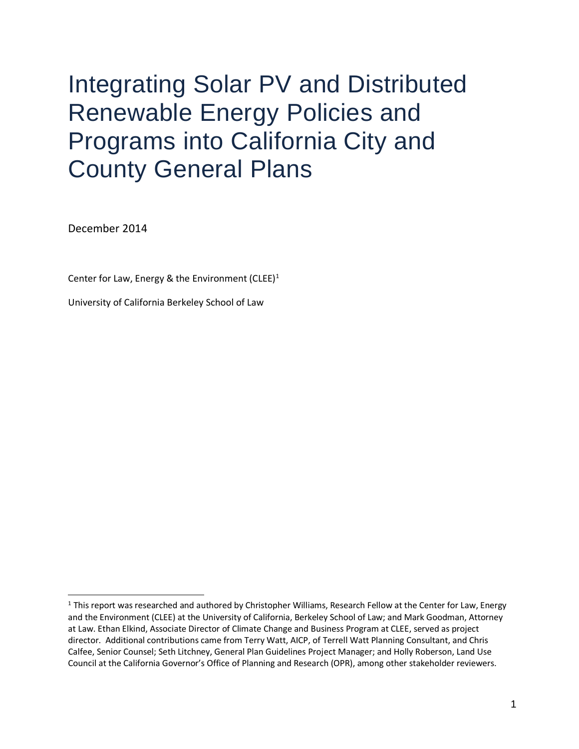# Integrating Solar PV and Distributed Renewable Energy Policies and Programs into California City and County General Plans

December 2014

Center for Law, Energy & the Environment (CLEE)<sup>1</sup>

University of California Berkeley School of Law

<sup>&</sup>lt;sup>1</sup> This report was researched and authored by Christopher Williams, Research Fellow at the Center for Law, Energy and the Environment (CLEE) at the University of California, Berkeley School of Law; and Mark Goodman, Attorney at Law. Ethan Elkind, Associate Director of Climate Change and Business Program at CLEE, served as project director. Additional contributions came from Terry Watt, AICP, of Terrell Watt Planning Consultant, and Chris Calfee, Senior Counsel; Seth Litchney, General Plan Guidelines Project Manager; and Holly Roberson, Land Use Council at the California Governor's Office of Planning and Research (OPR), among other stakeholder reviewers.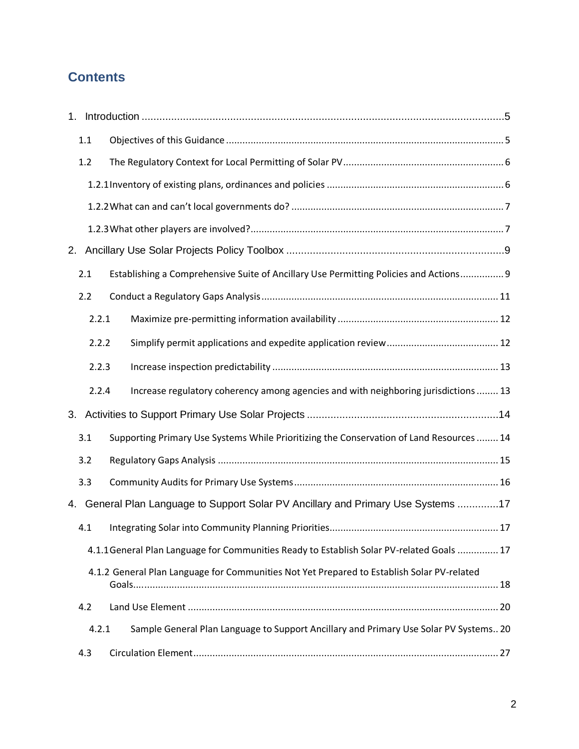# **Contents**

|    | 1.1   |                                                                                            |  |
|----|-------|--------------------------------------------------------------------------------------------|--|
|    | 1.2   |                                                                                            |  |
|    |       |                                                                                            |  |
|    |       |                                                                                            |  |
|    |       |                                                                                            |  |
|    |       |                                                                                            |  |
|    | 2.1   | Establishing a Comprehensive Suite of Ancillary Use Permitting Policies and Actions 9      |  |
|    | 2.2   |                                                                                            |  |
|    | 2.2.1 |                                                                                            |  |
|    | 2.2.2 |                                                                                            |  |
|    | 2.2.3 |                                                                                            |  |
|    | 2.2.4 | Increase regulatory coherency among agencies and with neighboring jurisdictions  13        |  |
|    |       |                                                                                            |  |
|    | 3.1   | Supporting Primary Use Systems While Prioritizing the Conservation of Land Resources  14   |  |
|    | 3.2   |                                                                                            |  |
|    | 3.3   |                                                                                            |  |
| 4. |       | General Plan Language to Support Solar PV Ancillary and Primary Use Systems 17             |  |
|    | 4.1   |                                                                                            |  |
|    |       | 4.1.1 General Plan Language for Communities Ready to Establish Solar PV-related Goals  17  |  |
|    |       | 4.1.2 General Plan Language for Communities Not Yet Prepared to Establish Solar PV-related |  |
|    | 4.2   |                                                                                            |  |
|    | 4.2.1 | Sample General Plan Language to Support Ancillary and Primary Use Solar PV Systems 20      |  |
|    | 4.3   |                                                                                            |  |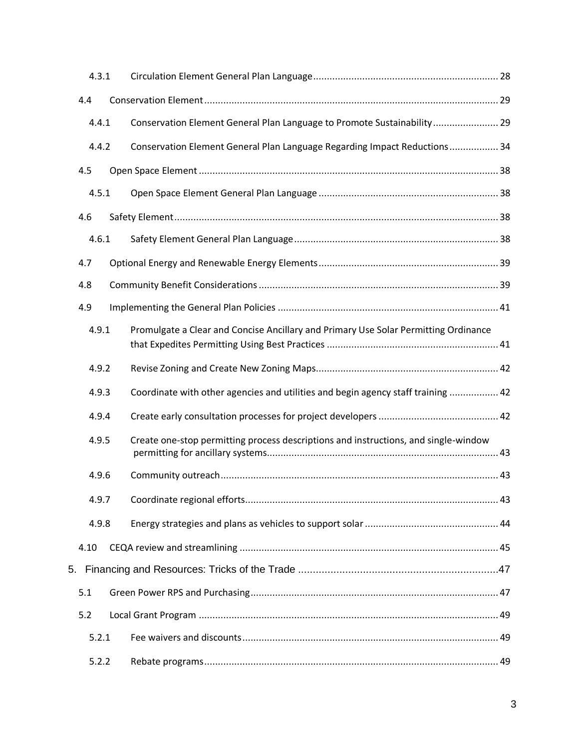| 4.3.1 |                                                                                     |  |
|-------|-------------------------------------------------------------------------------------|--|
| 4.4   |                                                                                     |  |
| 4.4.1 | Conservation Element General Plan Language to Promote Sustainability 29             |  |
| 4.4.2 | Conservation Element General Plan Language Regarding Impact Reductions 34           |  |
| 4.5   |                                                                                     |  |
| 4.5.1 |                                                                                     |  |
| 4.6   |                                                                                     |  |
| 4.6.1 |                                                                                     |  |
| 4.7   |                                                                                     |  |
| 4.8   |                                                                                     |  |
| 4.9   |                                                                                     |  |
| 4.9.1 | Promulgate a Clear and Concise Ancillary and Primary Use Solar Permitting Ordinance |  |
| 4.9.2 |                                                                                     |  |
| 4.9.3 | Coordinate with other agencies and utilities and begin agency staff training  42    |  |
| 4.9.4 |                                                                                     |  |
| 4.9.5 | Create one-stop permitting process descriptions and instructions, and single-window |  |
| 4.9.6 |                                                                                     |  |
| 4.9.7 |                                                                                     |  |
| 4.9.8 |                                                                                     |  |
| 4.10  |                                                                                     |  |
|       |                                                                                     |  |
| 5.1   |                                                                                     |  |
| 5.2   |                                                                                     |  |
| 5.2.1 |                                                                                     |  |
| 5.2.2 |                                                                                     |  |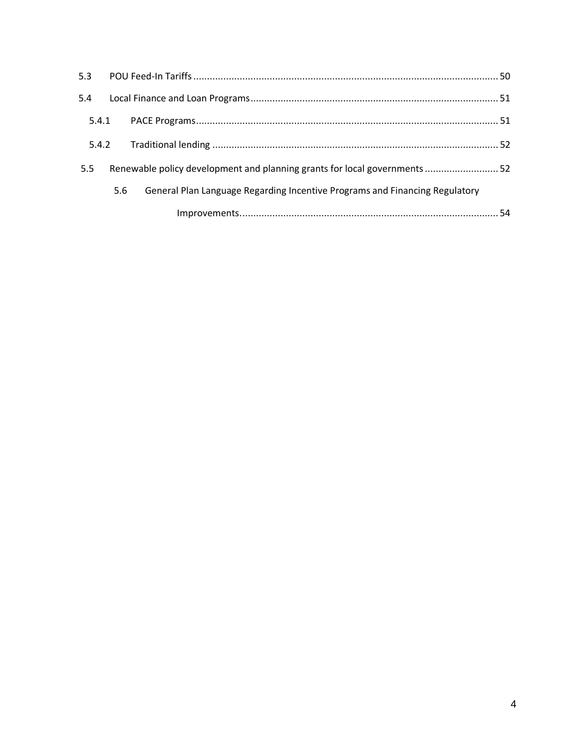| 5.3   |     |                                                                             |  |
|-------|-----|-----------------------------------------------------------------------------|--|
| 5.4   |     |                                                                             |  |
| 5.4.1 |     |                                                                             |  |
| 5.4.2 |     |                                                                             |  |
| 5.5   |     | Renewable policy development and planning grants for local governments  52  |  |
|       | 5.6 | General Plan Language Regarding Incentive Programs and Financing Regulatory |  |
|       |     |                                                                             |  |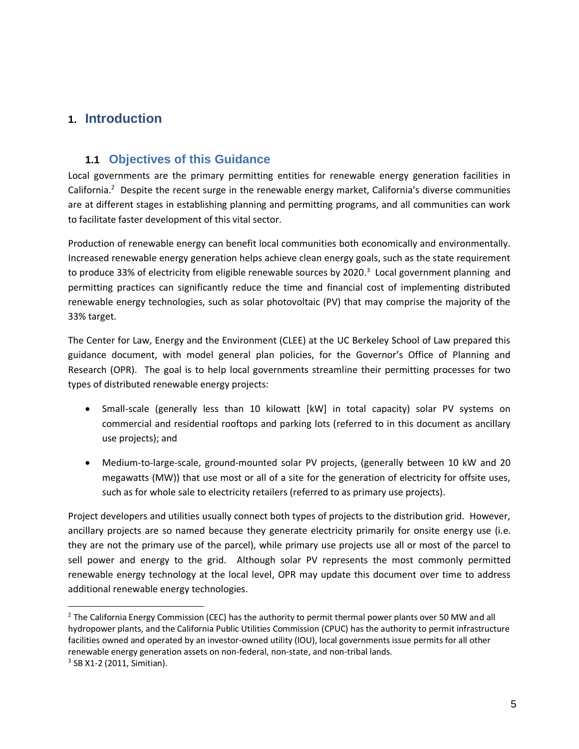# **1. Introduction**

# **1.1 Objectives of this Guidance**

Local governments are the primary permitting entities for renewable energy generation facilities in California.<sup>2</sup> Despite the recent surge in the renewable energy market, California's diverse communities are at different stages in establishing planning and permitting programs, and all communities can work to facilitate faster development of this vital sector.

Production of renewable energy can benefit local communities both economically and environmentally. Increased renewable energy generation helps achieve clean energy goals, such as the state requirement to produce 33% of electricity from eligible renewable sources by 2020.<sup>3</sup> Local government planning and permitting practices can significantly reduce the time and financial cost of implementing distributed renewable energy technologies, such as solar photovoltaic (PV) that may comprise the majority of the 33% target.

The Center for Law, Energy and the Environment (CLEE) at the UC Berkeley School of Law prepared this guidance document, with model general plan policies, for the Governor's Office of Planning and Research (OPR). The goal is to help local governments streamline their permitting processes for two types of distributed renewable energy projects:

- Small-scale (generally less than 10 kilowatt [kW] in total capacity) solar PV systems on commercial and residential rooftops and parking lots (referred to in this document as ancillary use projects); and
- Medium-to-large-scale, ground-mounted solar PV projects, (generally between 10 kW and 20 megawatts (MW)) that use most or all of a site for the generation of electricity for offsite uses, such as for whole sale to electricity retailers (referred to as primary use projects).

Project developers and utilities usually connect both types of projects to the distribution grid. However, ancillary projects are so named because they generate electricity primarily for onsite energy use (i.e. they are not the primary use of the parcel), while primary use projects use all or most of the parcel to sell power and energy to the grid. Although solar PV represents the most commonly permitted renewable energy technology at the local level, OPR may update this document over time to address additional renewable energy technologies.

<sup>&</sup>lt;sup>2</sup> The California Energy Commission (CEC) has the authority to permit thermal power plants over 50 MW and all hydropower plants, and the California Public Utilities Commission (CPUC) has the authority to permit infrastructure facilities owned and operated by an investor-owned utility (IOU), local governments issue permits for all other renewable energy generation assets on non-federal, non-state, and non-tribal lands. <sup>3</sup> SB X1-2 (2011, Simitian).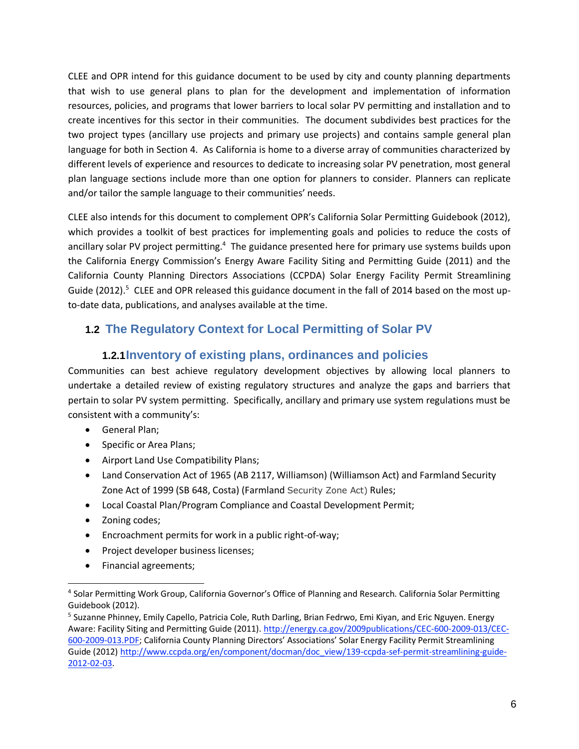CLEE and OPR intend for this guidance document to be used by city and county planning departments that wish to use general plans to plan for the development and implementation of information resources, policies, and programs that lower barriers to local solar PV permitting and installation and to create incentives for this sector in their communities. The document subdivides best practices for the two project types (ancillary use projects and primary use projects) and contains sample general plan language for both in Section 4. As California is home to a diverse array of communities characterized by different levels of experience and resources to dedicate to increasing solar PV penetration, most general plan language sections include more than one option for planners to consider. Planners can replicate and/or tailor the sample language to their communities' needs.

CLEE also intends for this document to complement OPR's California Solar Permitting Guidebook (2012), which provides a toolkit of best practices for implementing goals and policies to reduce the costs of ancillary solar PV project permitting.<sup>4</sup> The guidance presented here for primary use systems builds upon the California Energy Commission's Energy Aware Facility Siting and Permitting Guide (2011) and the California County Planning Directors Associations (CCPDA) Solar Energy Facility Permit Streamlining Guide (2012).<sup>5</sup> CLEE and OPR released this guidance document in the fall of 2014 based on the most upto-date data, publications, and analyses available at the time.

# **1.2 The Regulatory Context for Local Permitting of Solar PV**

# **1.2.1Inventory of existing plans, ordinances and policies**

Communities can best achieve regulatory development objectives by allowing local planners to undertake a detailed review of existing regulatory structures and analyze the gaps and barriers that pertain to solar PV system permitting. Specifically, ancillary and primary use system regulations must be consistent with a community's:

- General Plan;
- Specific or Area Plans;
- Airport Land Use Compatibility Plans;
- Land Conservation Act of 1965 (AB 2117, Williamson) (Williamson Act) and Farmland Security Zone Act of 1999 (SB 648, Costa) (Farmland Security Zone Act) Rules;
- Local Coastal Plan/Program Compliance and Coastal Development Permit;
- Zoning codes;

- Encroachment permits for work in a public right-of-way;
- Project developer business licenses;
- Financial agreements;

<sup>4</sup> Solar Permitting Work Group, California Governor's Office of Planning and Research. California Solar Permitting Guidebook (2012).

<sup>&</sup>lt;sup>5</sup> Suzanne Phinney, Emily Capello, Patricia Cole, Ruth Darling, Brian Fedrwo, Emi Kiyan, and Eric Nguyen. Energy Aware: Facility Siting and Permitting Guide (2011)[. http://energy.ca.gov/2009publications/CEC-600-2009-013/CEC-](http://energy.ca.gov/2009publications/CEC-600-2009-013/CEC-600-2009-013.PDF)[600-2009-013.PDF](http://energy.ca.gov/2009publications/CEC-600-2009-013/CEC-600-2009-013.PDF); California County Planning Directors' Associations' Solar Energy Facility Permit Streamlining Guide (2012) [http://www.ccpda.org/en/component/docman/doc\\_view/139-ccpda-sef-permit-streamlining-guide-](http://www.ccpda.org/en/component/docman/doc_view/139-ccpda-sef-permit-streamlining-guide-2012-02-03)[2012-02-03.](http://www.ccpda.org/en/component/docman/doc_view/139-ccpda-sef-permit-streamlining-guide-2012-02-03)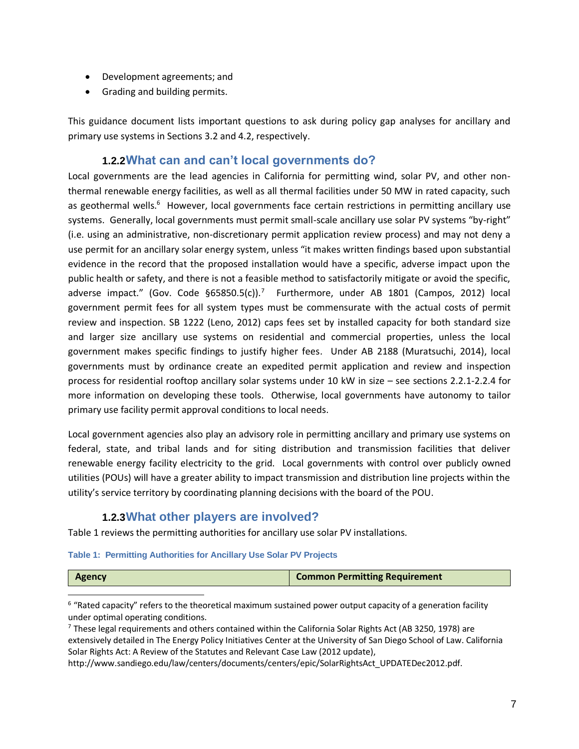- Development agreements; and
- Grading and building permits.

This guidance document lists important questions to ask during policy gap analyses for ancillary and primary use systems in Section[s 3.2](#page-10-0) and [4.2,](#page-14-0) respectively.

# **1.2.2What can and can't local governments do?**

Local governments are the lead agencies in California for permitting wind, solar PV, and other nonthermal renewable energy facilities, as well as all thermal facilities under 50 MW in rated capacity, such as geothermal wells.<sup>6</sup> However, local governments face certain restrictions in permitting ancillary use systems. Generally, local governments must permit small-scale ancillary use solar PV systems "by-right" (i.e. using an administrative, non-discretionary permit application review process) and may not deny a use permit for an ancillary solar energy system, unless "it makes written findings based upon substantial evidence in the record that the proposed installation would have a specific, adverse impact upon the public health or safety, and there is not a feasible method to satisfactorily mitigate or avoid the specific, adverse impact." (Gov. Code §65850.5(c)).<sup>7</sup> Furthermore, under AB 1801 (Campos, 2012) local government permit fees for all system types must be commensurate with the actual costs of permit review and inspection. SB 1222 (Leno, 2012) caps fees set by installed capacity for both standard size and larger size ancillary use systems on residential and commercial properties, unless the local government makes specific findings to justify higher fees. Under AB 2188 (Muratsuchi, 2014), local governments must by ordinance create an expedited permit application and review and inspection process for residential rooftop ancillary solar systems under 10 kW in size – see sections 2.2.1-2.2.4 for more information on developing these tools. Otherwise, local governments have autonomy to tailor primary use facility permit approval conditions to local needs.

Local government agencies also play an advisory role in permitting ancillary and primary use systems on federal, state, and tribal lands and for siting distribution and transmission facilities that deliver renewable energy facility electricity to the grid. Local governments with control over publicly owned utilities (POUs) will have a greater ability to impact transmission and distribution line projects within the utility's service territory by coordinating planning decisions with the board of the POU.

# **1.2.3What other players are involved?**

[Table 1](#page-6-0) reviews the permitting authorities for ancillary use solar PV installations.

#### <span id="page-6-0"></span>**Table 1: Permitting Authorities for Ancillary Use Solar PV Projects**

<sup>6</sup> "Rated capacity" refers to the theoretical maximum sustained power output capacity of a generation facility under optimal operating conditions.

 $7$  These legal requirements and others contained within the California Solar Rights Act (AB 3250, 1978) are extensively detailed in The Energy Policy Initiatives Center at the University of San Diego School of Law. California Solar Rights Act: A Review of the Statutes and Relevant Case Law (2012 update),

http://www.sandiego.edu/law/centers/documents/centers/epic/SolarRightsAct\_UPDATEDec2012.pdf.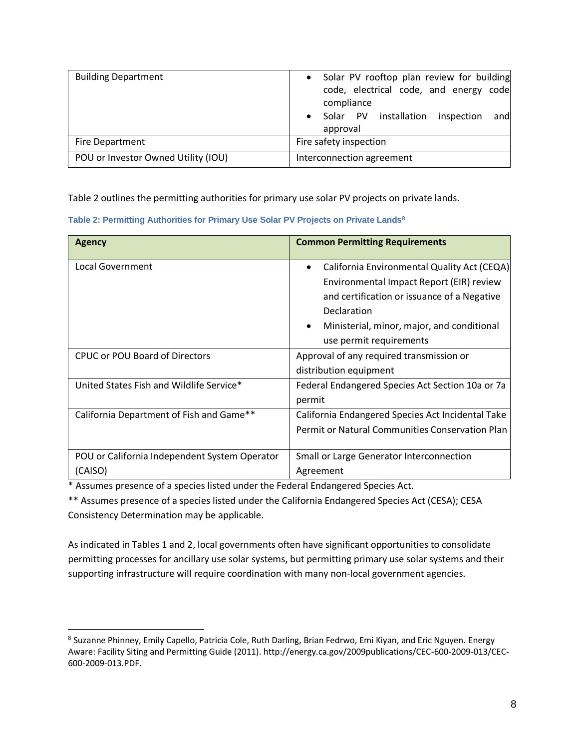| <b>Building Department</b>          | Solar PV rooftop plan review for building<br>code, electrical code, and energy code<br>compliance<br>and<br>Solar PV installation<br>inspection<br>$\bullet$<br>approval |  |  |  |
|-------------------------------------|--------------------------------------------------------------------------------------------------------------------------------------------------------------------------|--|--|--|
| Fire Department                     | Fire safety inspection                                                                                                                                                   |  |  |  |
| POU or Investor Owned Utility (IOU) | Interconnection agreement                                                                                                                                                |  |  |  |

Table 2 outlines the permitting authorities for primary use solar PV projects on private lands.

| Table 2: Permitting Authorities for Primary Use Solar PV Projects on Private Lands $^{\rm 8}$ |  |  |  |  |  |  |
|-----------------------------------------------------------------------------------------------|--|--|--|--|--|--|
|-----------------------------------------------------------------------------------------------|--|--|--|--|--|--|

| <b>Agency</b>                                 | <b>Common Permitting Requirements</b>                    |
|-----------------------------------------------|----------------------------------------------------------|
| Local Government                              | California Environmental Quality Act (CEQA)<br>$\bullet$ |
|                                               | Environmental Impact Report (EIR) review                 |
|                                               | and certification or issuance of a Negative              |
|                                               | Declaration                                              |
|                                               | Ministerial, minor, major, and conditional<br>$\bullet$  |
|                                               | use permit requirements                                  |
| <b>CPUC or POU Board of Directors</b>         | Approval of any required transmission or                 |
|                                               | distribution equipment                                   |
| United States Fish and Wildlife Service*      | Federal Endangered Species Act Section 10a or 7a         |
|                                               | permit                                                   |
| California Department of Fish and Game**      | California Endangered Species Act Incidental Take        |
|                                               | Permit or Natural Communities Conservation Plan          |
|                                               |                                                          |
| POU or California Independent System Operator | Small or Large Generator Interconnection                 |
| (CAISO)                                       | Agreement                                                |

\* Assumes presence of a species listed under the Federal Endangered Species Act.

\*\* Assumes presence of a species listed under the California Endangered Species Act (CESA); CESA Consistency Determination may be applicable.

As indicated in Tables 1 and 2, local governments often have significant opportunities to consolidate permitting processes for ancillary use solar systems, but permitting primary use solar systems and their supporting infrastructure will require coordination with many non-local government agencies.

<sup>&</sup>lt;sup>8</sup> Suzanne Phinney, Emily Capello, Patricia Cole, Ruth Darling, Brian Fedrwo, Emi Kiyan, and Eric Nguyen. Energy Aware: Facility Siting and Permitting Guide (2011). http://energy.ca.gov/2009publications/CEC-600-2009-013/CEC-600-2009-013.PDF.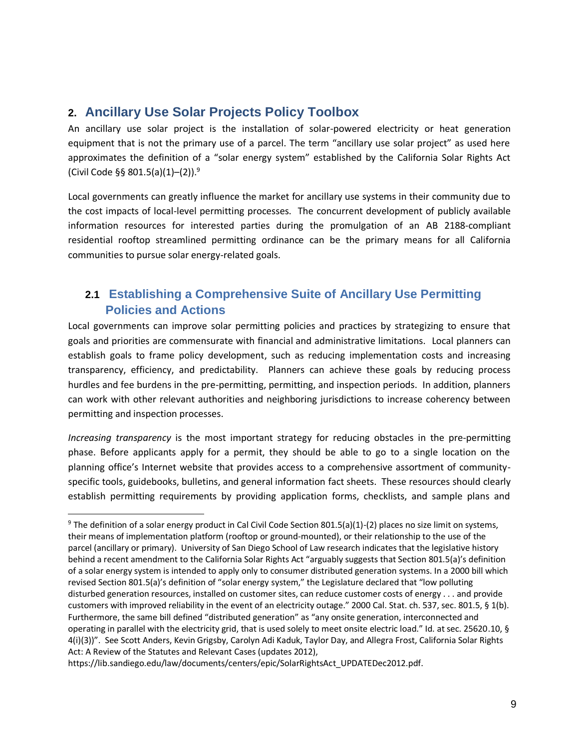# **2. Ancillary Use Solar Projects Policy Toolbox**

An ancillary use solar project is the installation of solar-powered electricity or heat generation equipment that is not the primary use of a parcel. The term "ancillary use solar project" as used here approximates the definition of a "solar energy system" established by the California Solar Rights Act (Civil Code §§ 801.5(a)(1)–(2)).<sup>9</sup>

Local governments can greatly influence the market for ancillary use systems in their community due to the cost impacts of local-level permitting processes. The concurrent development of publicly available information resources for interested parties during the promulgation of an AB 2188-compliant residential rooftop streamlined permitting ordinance can be the primary means for all California communities to pursue solar energy-related goals.

# **2.1 Establishing a Comprehensive Suite of Ancillary Use Permitting Policies and Actions**

Local governments can improve solar permitting policies and practices by strategizing to ensure that goals and priorities are commensurate with financial and administrative limitations. Local planners can establish goals to frame policy development, such as reducing implementation costs and increasing transparency, efficiency, and predictability. Planners can achieve these goals by reducing process hurdles and fee burdens in the pre-permitting, permitting, and inspection periods. In addition, planners can work with other relevant authorities and neighboring jurisdictions to increase coherency between permitting and inspection processes.

*Increasing transparency* is the most important strategy for reducing obstacles in the pre-permitting phase. Before applicants apply for a permit, they should be able to go to a single location on the planning office's Internet website that provides access to a comprehensive assortment of communityspecific tools, guidebooks, bulletins, and general information fact sheets. These resources should clearly establish permitting requirements by providing application forms, checklists, and sample plans and

<sup>&</sup>lt;sup>9</sup> The definition of a solar energy product in Cal Civil Code Section 801.5(a)(1)-(2) places no size limit on systems, their means of implementation platform (rooftop or ground-mounted), or their relationship to the use of the parcel (ancillary or primary). University of San Diego School of Law research indicates that the legislative history behind a recent amendment to the California Solar Rights Act "arguably suggests that Section 801.5(a)'s definition of a solar energy system is intended to apply only to consumer distributed generation systems. In a 2000 bill which revised Section 801.5(a)'s definition of "solar energy system," the Legislature declared that "low polluting disturbed generation resources, installed on customer sites, can reduce customer costs of energy . . . and provide customers with improved reliability in the event of an electricity outage." 2000 Cal. Stat. ch. 537, sec. 801.5, § 1(b). Furthermore, the same bill defined "distributed generation" as "any onsite generation, interconnected and operating in parallel with the electricity grid, that is used solely to meet onsite electric load." Id. at sec. 25620.10, § 4(i)(3))". See Scott Anders, Kevin Grigsby, Carolyn Adi Kaduk, Taylor Day, and Allegra Frost, California Solar Rights Act: A Review of the Statutes and Relevant Cases (updates 2012),

https://lib.sandiego.edu/law/documents/centers/epic/SolarRightsAct\_UPDATEDec2012.pdf.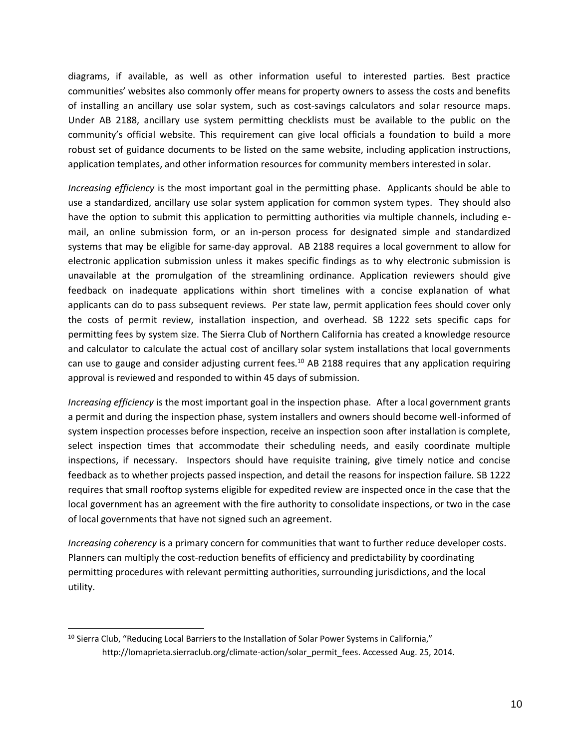diagrams, if available, as well as other information useful to interested parties. Best practice communities' websites also commonly offer means for property owners to assess the costs and benefits of installing an ancillary use solar system, such as cost-savings calculators and solar resource maps. Under AB 2188, ancillary use system permitting checklists must be available to the public on the community's official website. This requirement can give local officials a foundation to build a more robust set of guidance documents to be listed on the same website, including application instructions, application templates, and other information resources for community members interested in solar.

*Increasing efficiency* is the most important goal in the permitting phase. Applicants should be able to use a standardized, ancillary use solar system application for common system types. They should also have the option to submit this application to permitting authorities via multiple channels, including email, an online submission form, or an in-person process for designated simple and standardized systems that may be eligible for same-day approval. AB 2188 requires a local government to allow for electronic application submission unless it makes specific findings as to why electronic submission is unavailable at the promulgation of the streamlining ordinance. Application reviewers should give feedback on inadequate applications within short timelines with a concise explanation of what applicants can do to pass subsequent reviews. Per state law, permit application fees should cover only the costs of permit review, installation inspection, and overhead. SB 1222 sets specific caps for permitting fees by system size. The Sierra Club of Northern California has created a knowledge resource and calculator to calculate the actual cost of ancillary solar system installations that local governments can use to gauge and consider adjusting current fees.<sup>10</sup> AB 2188 requires that any application requiring approval is reviewed and responded to within 45 days of submission.

*Increasing efficiency* is the most important goal in the inspection phase. After a local government grants a permit and during the inspection phase, system installers and owners should become well-informed of system inspection processes before inspection, receive an inspection soon after installation is complete, select inspection times that accommodate their scheduling needs, and easily coordinate multiple inspections, if necessary. Inspectors should have requisite training, give timely notice and concise feedback as to whether projects passed inspection, and detail the reasons for inspection failure. SB 1222 requires that small rooftop systems eligible for expedited review are inspected once in the case that the local government has an agreement with the fire authority to consolidate inspections, or two in the case of local governments that have not signed such an agreement.

*Increasing coherency* is a primary concern for communities that want to further reduce developer costs. Planners can multiply the cost-reduction benefits of efficiency and predictability by coordinating permitting procedures with relevant permitting authorities, surrounding jurisdictions, and the local utility.

 $\overline{a}$ 

 $10$  Sierra Club, "Reducing Local Barriers to the Installation of Solar Power Systems in California," [http://lomaprieta.sierraclub.org/climate-action/solar\\_permit\\_fees.](http://lomaprieta.sierraclub.org/climate-action/solar_permit_fees) Accessed Aug. 25, 2014.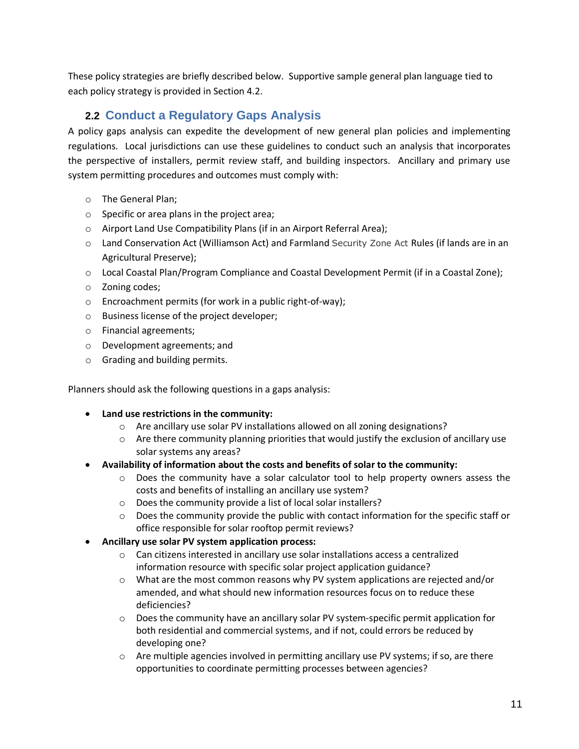These policy strategies are briefly described below. Supportive sample general plan language tied to each policy strategy is provided in Section [4.2.](#page-19-0)

# **2.2 Conduct a Regulatory Gaps Analysis**

<span id="page-10-0"></span>A policy gaps analysis can expedite the development of new general plan policies and implementing regulations. Local jurisdictions can use these guidelines to conduct such an analysis that incorporates the perspective of installers, permit review staff, and building inspectors. Ancillary and primary use system permitting procedures and outcomes must comply with:

- o The General Plan;
- $\circ$  Specific or area plans in the project area;
- o Airport Land Use Compatibility Plans (if in an Airport Referral Area);
- o Land Conservation Act (Williamson Act) and Farmland Security Zone Act Rules (if lands are in an Agricultural Preserve);
- o Local Coastal Plan/Program Compliance and Coastal Development Permit (if in a Coastal Zone);
- o Zoning codes;
- o Encroachment permits (for work in a public right-of-way);
- o Business license of the project developer;
- o Financial agreements;
- o Development agreements; and
- o Grading and building permits.

Planners should ask the following questions in a gaps analysis:

### **Land use restrictions in the community:**

- o Are ancillary use solar PV installations allowed on all zoning designations?
- o Are there community planning priorities that would justify the exclusion of ancillary use solar systems any areas?
- **Availability of information about the costs and benefits of solar to the community:**
	- o Does the community have a solar calculator tool to help property owners assess the costs and benefits of installing an ancillary use system?
	- o Does the community provide a list of local solar installers?
	- $\circ$  Does the community provide the public with contact information for the specific staff or office responsible for solar rooftop permit reviews?
- **Ancillary use solar PV system application process:**
	- $\circ$  Can citizens interested in ancillary use solar installations access a centralized information resource with specific solar project application guidance?
	- o What are the most common reasons why PV system applications are rejected and/or amended, and what should new information resources focus on to reduce these deficiencies?
	- o Does the community have an ancillary solar PV system-specific permit application for both residential and commercial systems, and if not, could errors be reduced by developing one?
	- $\circ$  Are multiple agencies involved in permitting ancillary use PV systems; if so, are there opportunities to coordinate permitting processes between agencies?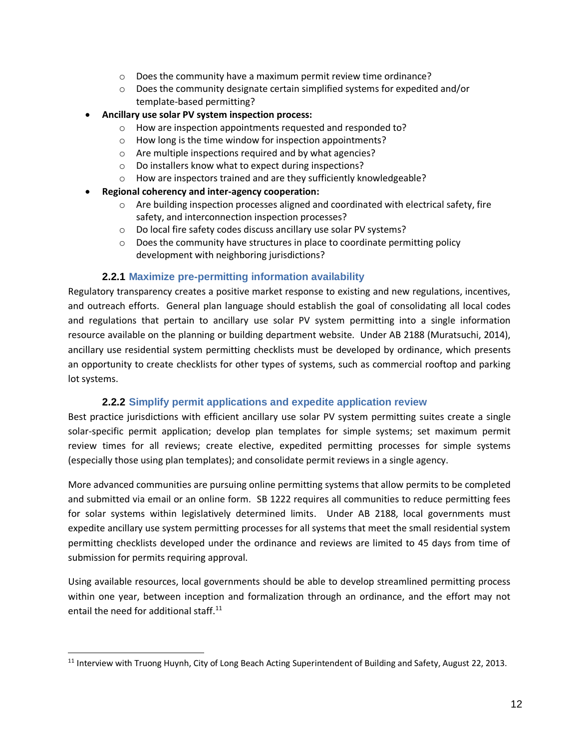- o Does the community have a maximum permit review time ordinance?
- o Does the community designate certain simplified systems for expedited and/or template-based permitting?
- **Ancillary use solar PV system inspection process:**
	- o How are inspection appointments requested and responded to?
	- o How long is the time window for inspection appointments?
	- o Are multiple inspections required and by what agencies?
	- o Do installers know what to expect during inspections?
	- o How are inspectors trained and are they sufficiently knowledgeable?
- **Regional coherency and inter-agency cooperation:**
	- $\circ$  Are building inspection processes aligned and coordinated with electrical safety, fire safety, and interconnection inspection processes?
	- o Do local fire safety codes discuss ancillary use solar PV systems?
	- o Does the community have structures in place to coordinate permitting policy development with neighboring jurisdictions?

### **2.2.1 Maximize pre-permitting information availability**

Regulatory transparency creates a positive market response to existing and new regulations, incentives, and outreach efforts. General plan language should establish the goal of consolidating all local codes and regulations that pertain to ancillary use solar PV system permitting into a single information resource available on the planning or building department website. Under AB 2188 (Muratsuchi, 2014), ancillary use residential system permitting checklists must be developed by ordinance, which presents an opportunity to create checklists for other types of systems, such as commercial rooftop and parking lot systems.

### **2.2.2 Simplify permit applications and expedite application review**

Best practice jurisdictions with efficient ancillary use solar PV system permitting suites create a single solar-specific permit application; develop plan templates for simple systems; set maximum permit review times for all reviews; create elective, expedited permitting processes for simple systems (especially those using plan templates); and consolidate permit reviews in a single agency.

More advanced communities are pursuing online permitting systems that allow permits to be completed and submitted via email or an online form. SB 1222 requires all communities to reduce permitting fees for solar systems within legislatively determined limits. Under AB 2188, local governments must expedite ancillary use system permitting processes for all systems that meet the small residential system permitting checklists developed under the ordinance and reviews are limited to 45 days from time of submission for permits requiring approval.

Using available resources, local governments should be able to develop streamlined permitting process within one year, between inception and formalization through an ordinance, and the effort may not entail the need for additional staff. $^{11}$ 

 $\overline{a}$ 

 $11$  Interview with Truong Huynh, City of Long Beach Acting Superintendent of Building and Safety, August 22, 2013.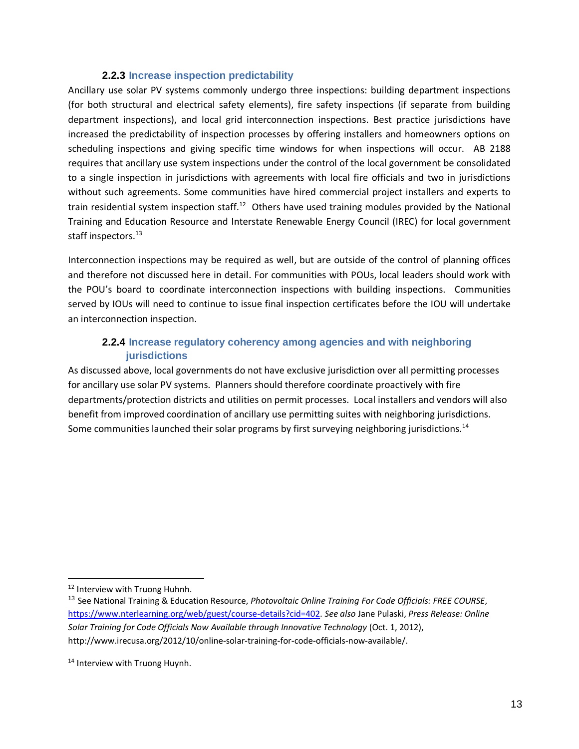#### **2.2.3 Increase inspection predictability**

Ancillary use solar PV systems commonly undergo three inspections: building department inspections (for both structural and electrical safety elements), fire safety inspections (if separate from building department inspections), and local grid interconnection inspections. Best practice jurisdictions have increased the predictability of inspection processes by offering installers and homeowners options on scheduling inspections and giving specific time windows for when inspections will occur. AB 2188 requires that ancillary use system inspections under the control of the local government be consolidated to a single inspection in jurisdictions with agreements with local fire officials and two in jurisdictions without such agreements. Some communities have hired commercial project installers and experts to train residential system inspection staff.<sup>12</sup> Others have used training modules provided by the National Training and Education Resource and Interstate Renewable Energy Council (IREC) for local government staff inspectors.<sup>13</sup>

Interconnection inspections may be required as well, but are outside of the control of planning offices and therefore not discussed here in detail. For communities with POUs, local leaders should work with the POU's board to coordinate interconnection inspections with building inspections. Communities served by IOUs will need to continue to issue final inspection certificates before the IOU will undertake an interconnection inspection.

## **2.2.4 Increase regulatory coherency among agencies and with neighboring jurisdictions**

As discussed above, local governments do not have exclusive jurisdiction over all permitting processes for ancillary use solar PV systems. Planners should therefore coordinate proactively with fire departments/protection districts and utilities on permit processes. Local installers and vendors will also benefit from improved coordination of ancillary use permitting suites with neighboring jurisdictions. Some communities launched their solar programs by first surveying neighboring jurisdictions.<sup>14</sup>

<sup>&</sup>lt;sup>12</sup> Interview with Truong Huhnh.

<sup>13</sup> See National Training & Education Resource, *Photovoltaic Online Training For Code Officials: FREE COURSE*, [https://www.nterlearning.org/web/guest/course-details?cid=402.](https://www.nterlearning.org/web/guest/course-details?cid=402) *See also* Jane Pulaski, *Press Release: Online Solar Training for Code Officials Now Available through Innovative Technology* (Oct. 1, 2012), http://www.irecusa.org/2012/10/online-solar-training-for-code-officials-now-available/.

<sup>&</sup>lt;sup>14</sup> Interview with Truong Huynh.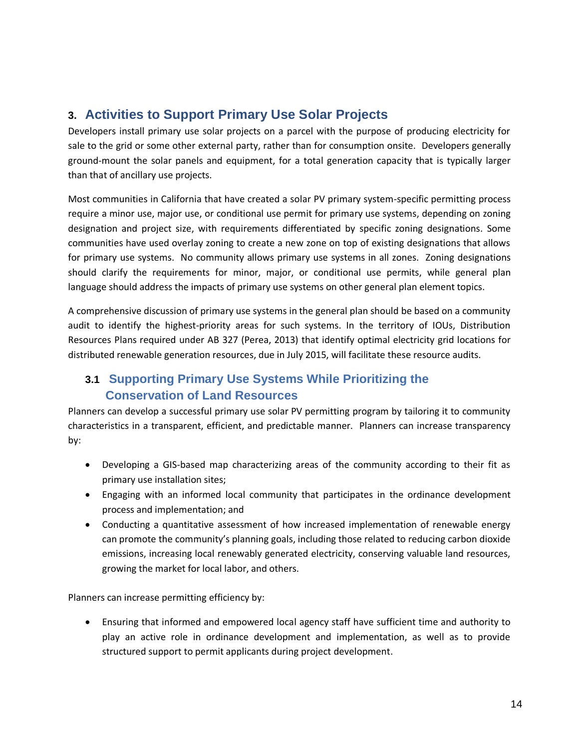# <span id="page-13-0"></span>**3. Activities to Support Primary Use Solar Projects**

Developers install primary use solar projects on a parcel with the purpose of producing electricity for sale to the grid or some other external party, rather than for consumption onsite. Developers generally ground-mount the solar panels and equipment, for a total generation capacity that is typically larger than that of ancillary use projects.

Most communities in California that have created a solar PV primary system-specific permitting process require a minor use, major use, or conditional use permit for primary use systems, depending on zoning designation and project size, with requirements differentiated by specific zoning designations. Some communities have used overlay zoning to create a new zone on top of existing designations that allows for primary use systems. No community allows primary use systems in all zones. Zoning designations should clarify the requirements for minor, major, or conditional use permits, while general plan language should address the impacts of primary use systems on other general plan element topics.

A comprehensive discussion of primary use systems in the general plan should be based on a community audit to identify the highest-priority areas for such systems. In the territory of IOUs, Distribution Resources Plans required under AB 327 (Perea, 2013) that identify optimal electricity grid locations for distributed renewable generation resources, due in July 2015, will facilitate these resource audits.

# **3.1 Supporting Primary Use Systems While Prioritizing the Conservation of Land Resources**

Planners can develop a successful primary use solar PV permitting program by tailoring it to community characteristics in a transparent, efficient, and predictable manner. Planners can increase transparency by:

- Developing a GIS-based map characterizing areas of the community according to their fit as primary use installation sites;
- Engaging with an informed local community that participates in the ordinance development process and implementation; and
- Conducting a quantitative assessment of how increased implementation of renewable energy can promote the community's planning goals, including those related to reducing carbon dioxide emissions, increasing local renewably generated electricity, conserving valuable land resources, growing the market for local labor, and others.

Planners can increase permitting efficiency by:

 Ensuring that informed and empowered local agency staff have sufficient time and authority to play an active role in ordinance development and implementation, as well as to provide structured support to permit applicants during project development.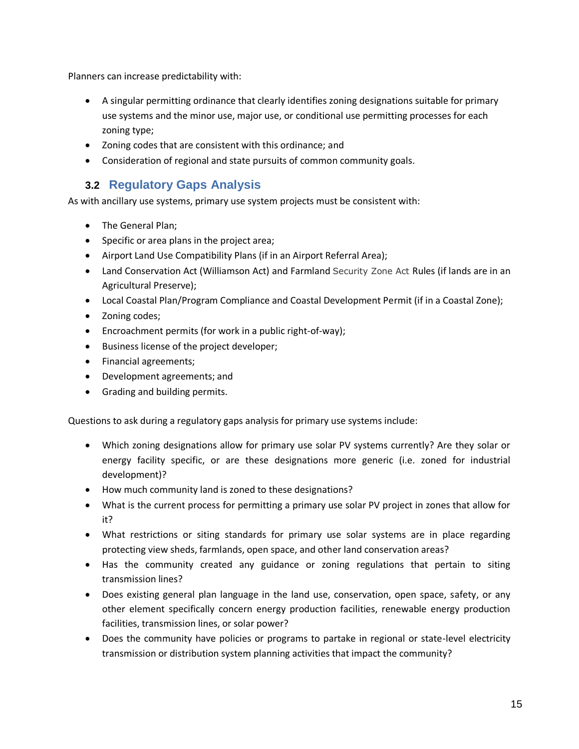Planners can increase predictability with:

- A singular permitting ordinance that clearly identifies zoning designations suitable for primary use systems and the minor use, major use, or conditional use permitting processes for each zoning type;
- Zoning codes that are consistent with this ordinance; and
- Consideration of regional and state pursuits of common community goals.

# <span id="page-14-0"></span>**3.2 Regulatory Gaps Analysis**

As with ancillary use systems, primary use system projects must be consistent with:

- The General Plan;
- Specific or area plans in the project area;
- Airport Land Use Compatibility Plans (if in an Airport Referral Area);
- Land Conservation Act (Williamson Act) and Farmland Security Zone Act Rules (if lands are in an Agricultural Preserve);
- Local Coastal Plan/Program Compliance and Coastal Development Permit (if in a Coastal Zone);
- Zoning codes;
- Encroachment permits (for work in a public right-of-way);
- Business license of the project developer;
- Financial agreements;
- Development agreements; and
- **•** Grading and building permits.

Questions to ask during a regulatory gaps analysis for primary use systems include:

- Which zoning designations allow for primary use solar PV systems currently? Are they solar or energy facility specific, or are these designations more generic (i.e. zoned for industrial development)?
- How much community land is zoned to these designations?
- What is the current process for permitting a primary use solar PV project in zones that allow for it?
- What restrictions or siting standards for primary use solar systems are in place regarding protecting view sheds, farmlands, open space, and other land conservation areas?
- Has the community created any guidance or zoning regulations that pertain to siting transmission lines?
- Does existing general plan language in the land use, conservation, open space, safety, or any other element specifically concern energy production facilities, renewable energy production facilities, transmission lines, or solar power?
- Does the community have policies or programs to partake in regional or state-level electricity transmission or distribution system planning activities that impact the community?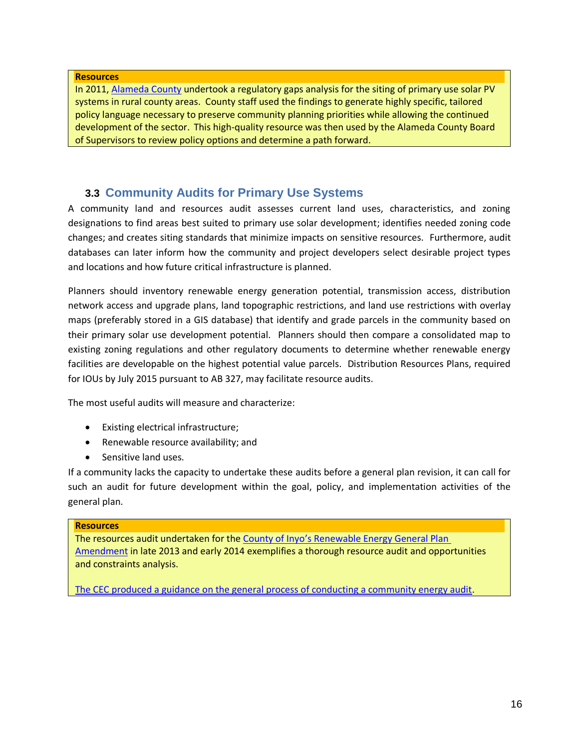#### **Resources**

In 2011, [Alameda County](http://www.acgov.org/cda/planning/landuseprojects/documents/Proposed_Solar_Policies) undertook a regulatory gaps analysis for the siting of primary use solar PV systems in rural county areas. County staff used the findings to generate highly specific, tailored policy language necessary to preserve community planning priorities while allowing the continued development of the sector. This high-quality resource was then used by the Alameda County Board of Supervisors to review policy options and determine a path forward.

# **3.3 Community Audits for Primary Use Systems**

A community land and resources audit assesses current land uses, characteristics, and zoning designations to find areas best suited to primary use solar development; identifies needed zoning code changes; and creates siting standards that minimize impacts on sensitive resources. Furthermore, audit databases can later inform how the community and project developers select desirable project types and locations and how future critical infrastructure is planned.

Planners should inventory renewable energy generation potential, transmission access, distribution network access and upgrade plans, land topographic restrictions, and land use restrictions with overlay maps (preferably stored in a GIS database) that identify and grade parcels in the community based on their primary solar use development potential. Planners should then compare a consolidated map to existing zoning regulations and other regulatory documents to determine whether renewable energy facilities are developable on the highest potential value parcels. Distribution Resources Plans, required for IOUs by July 2015 pursuant to AB 327, may facilitate resource audits.

The most useful audits will measure and characterize:

- Existing electrical infrastructure;
- Renewable resource availability; and
- Sensitive land uses.

If a community lacks the capacity to undertake these audits before a general plan revision, it can call for such an audit for future development within the goal, policy, and implementation activities of the general plan.

#### **Resources**

The resources audit undertaken for the County of Inyo's [Renewable Energy General Plan](http://inyoplanning.org/projects/REGPA/Documents/AttachmentBOpportunitiesandConstraintsTechnicalStudy.pdf)  [Amendment](http://inyoplanning.org/projects/REGPA/Documents/AttachmentBOpportunitiesandConstraintsTechnicalStudy.pdf) in late 2013 and early 2014 exemplifies a thorough resource audit and opportunities and constraints analysis.

[The CEC produced a guidance on the general process of conducting a community energy audit.](http://inyoplanning.org/projects/REGPA/Documents/AttachmentBOpportunitiesandConstraintsTechnicalStudy.pd)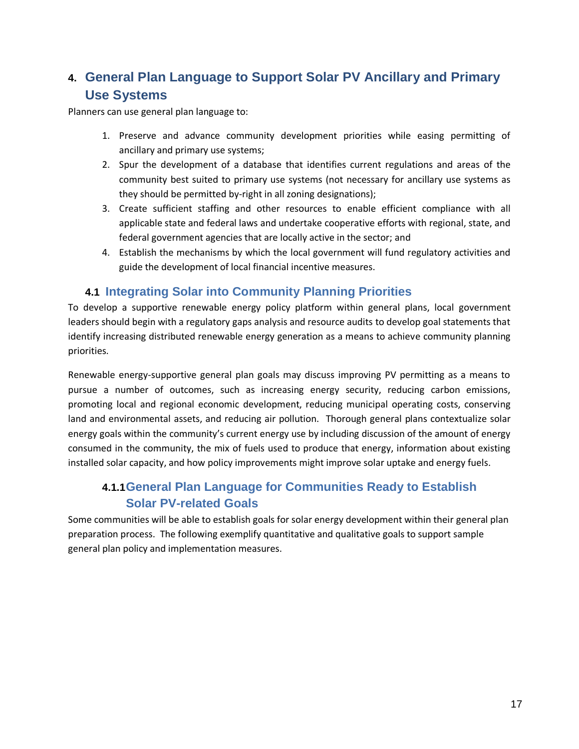# **4. General Plan Language to Support Solar PV Ancillary and Primary Use Systems**

Planners can use general plan language to:

- 1. Preserve and advance community development priorities while easing permitting of ancillary and primary use systems;
- 2. Spur the development of a database that identifies current regulations and areas of the community best suited to primary use systems (not necessary for ancillary use systems as they should be permitted by-right in all zoning designations);
- 3. Create sufficient staffing and other resources to enable efficient compliance with all applicable state and federal laws and undertake cooperative efforts with regional, state, and federal government agencies that are locally active in the sector; and
- 4. Establish the mechanisms by which the local government will fund regulatory activities and guide the development of local financial incentive measures.

# <span id="page-16-0"></span>**4.1 Integrating Solar into Community Planning Priorities**

To develop a supportive renewable energy policy platform within general plans, local government leaders should begin with a regulatory gaps analysis and resource audits to develop goal statements that identify increasing distributed renewable energy generation as a means to achieve community planning priorities.

Renewable energy-supportive general plan goals may discuss improving PV permitting as a means to pursue a number of outcomes, such as increasing energy security, reducing carbon emissions, promoting local and regional economic development, reducing municipal operating costs, conserving land and environmental assets, and reducing air pollution. Thorough general plans contextualize solar energy goals within the community's current energy use by including discussion of the amount of energy consumed in the community, the mix of fuels used to produce that energy, information about existing installed solar capacity, and how policy improvements might improve solar uptake and energy fuels.

# **4.1.1General Plan Language for Communities Ready to Establish Solar PV-related Goals**

Some communities will be able to establish goals for solar energy development within their general plan preparation process. The following exemplify quantitative and qualitative goals to support sample general plan policy and implementation measures.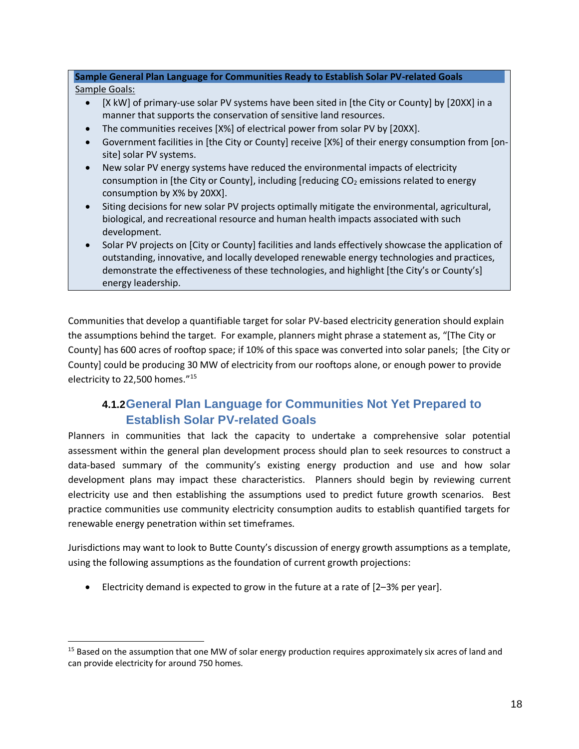**Sample General Plan Language for Communities Ready to Establish Solar PV-related Goals** Sample Goals:

- [X kW] of primary-use solar PV systems have been sited in [the City or County] by [20XX] in a manner that supports the conservation of sensitive land resources.
- The communities receives [X%] of electrical power from solar PV by [20XX].
- Government facilities in [the City or County] receive [X%] of their energy consumption from [onsite] solar PV systems.
- New solar PV energy systems have reduced the environmental impacts of electricity consumption in [the City or County], including [reducing  $CO<sub>2</sub>$  emissions related to energy consumption by X% by 20XX].
- Siting decisions for new solar PV projects optimally mitigate the environmental, agricultural, biological, and recreational resource and human health impacts associated with such development.
- Solar PV projects on [City or County] facilities and lands effectively showcase the application of outstanding, innovative, and locally developed renewable energy technologies and practices, demonstrate the effectiveness of these technologies, and highlight [the City's or County's] energy leadership.

Communities that develop a quantifiable target for solar PV-based electricity generation should explain the assumptions behind the target. For example, planners might phrase a statement as, "[The City or County] has 600 acres of rooftop space; if 10% of this space was converted into solar panels; [the City or County] could be producing 30 MW of electricity from our rooftops alone, or enough power to provide electricity to 22,500 homes."<sup>15</sup>

# **4.1.2General Plan Language for Communities Not Yet Prepared to Establish Solar PV-related Goals**

Planners in communities that lack the capacity to undertake a comprehensive solar potential assessment within the general plan development process should plan to seek resources to construct a data-based summary of the community's existing energy production and use and how solar development plans may impact these characteristics. Planners should begin by reviewing current electricity use and then establishing the assumptions used to predict future growth scenarios. Best practice communities use community electricity consumption audits to establish quantified targets for renewable energy penetration within set timeframes.

Jurisdictions may want to look to Butte County's discussion of energy growth assumptions as a template, using the following assumptions as the foundation of current growth projections:

Electricity demand is expected to grow in the future at a rate of  $[2-3%$  per year].

<sup>&</sup>lt;sup>15</sup> Based on the assumption that one MW of solar energy production requires approximately six acres of land and can provide electricity for around 750 homes.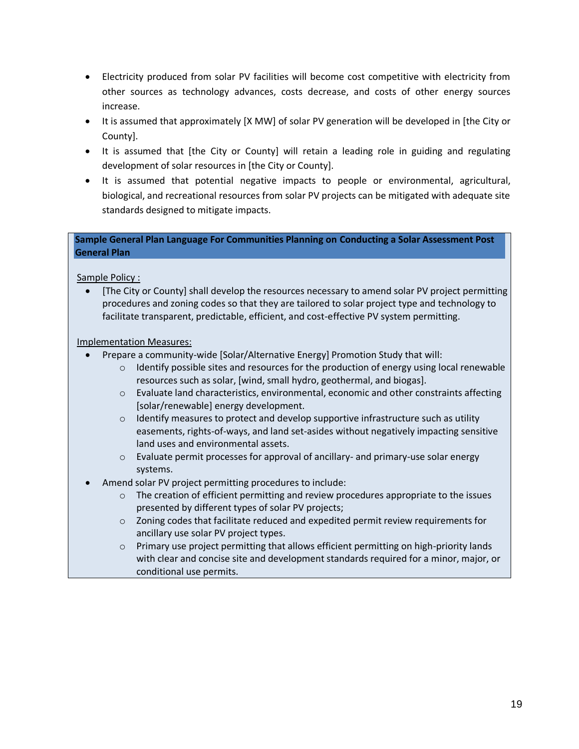- Electricity produced from solar PV facilities will become cost competitive with electricity from other sources as technology advances, costs decrease, and costs of other energy sources increase.
- It is assumed that approximately [X MW] of solar PV generation will be developed in [the City or County].
- It is assumed that [the City or County] will retain a leading role in guiding and regulating development of solar resources in [the City or County].
- It is assumed that potential negative impacts to people or environmental, agricultural, biological, and recreational resources from solar PV projects can be mitigated with adequate site standards designed to mitigate impacts.

### **Sample General Plan Language For Communities Planning on Conducting a Solar Assessment Post General Plan**

Sample Policy :

 [The City or County] shall develop the resources necessary to amend solar PV project permitting procedures and zoning codes so that they are tailored to solar project type and technology to facilitate transparent, predictable, efficient, and cost-effective PV system permitting.

Implementation Measures:

- Prepare a community-wide [Solar/Alternative Energy] Promotion Study that will:
	- $\circ$  Identify possible sites and resources for the production of energy using local renewable resources such as solar, [wind, small hydro, geothermal, and biogas].
	- o Evaluate land characteristics, environmental, economic and other constraints affecting [solar/renewable] energy development.
	- $\circ$  Identify measures to protect and develop supportive infrastructure such as utility easements, rights-of-ways, and land set-asides without negatively impacting sensitive land uses and environmental assets.
	- o Evaluate permit processes for approval of ancillary- and primary-use solar energy systems.
- Amend solar PV project permitting procedures to include:
	- $\circ$  The creation of efficient permitting and review procedures appropriate to the issues presented by different types of solar PV projects;
	- $\circ$  Zoning codes that facilitate reduced and expedited permit review requirements for ancillary use solar PV project types.
	- o Primary use project permitting that allows efficient permitting on high-priority lands with clear and concise site and development standards required for a minor, major, or conditional use permits.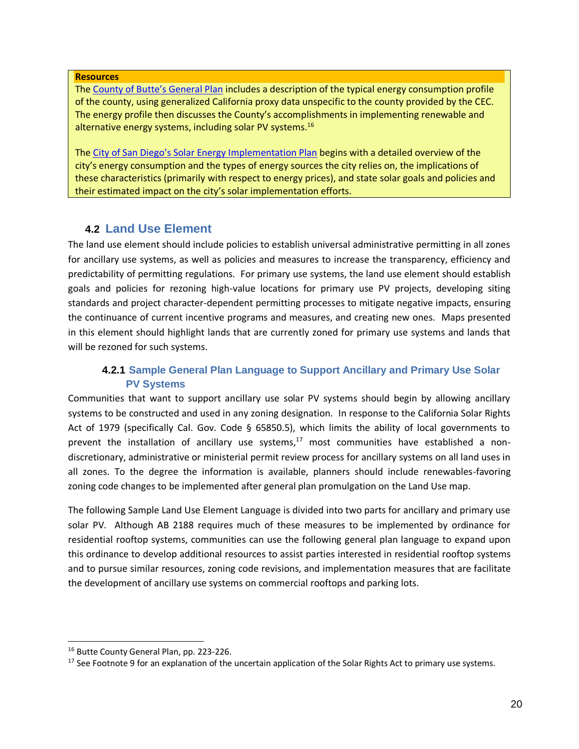#### **Resources**

The [County of Butte's General Plan](http://www.buttegeneralplan.net/products/2010-10-26_GP2030/Butte_County_General_Plan.pdf) includes a description of the typical energy consumption profile of the county, using generalized California proxy data unspecific to the county provided by the CEC. The energy profile then discusses the County's accomplishments in implementing renewable and alternative energy systems, including solar PV systems.<sup>16</sup>

The [City of San Diego's Solar Energy Implementation Plan](http://www.sandiego.gov/environmental-services/pdf/sustainable/SolarImplementationPlan-May2010.pdf) begins with a detailed overview of the city's energy consumption and the types of energy sources the city relies on, the implications of these characteristics (primarily with respect to energy prices), and state solar goals and policies and their estimated impact on the city's solar implementation efforts.

# **4.2 Land Use Element**

<span id="page-19-0"></span>The land use element should include policies to establish universal administrative permitting in all zones for ancillary use systems, as well as policies and measures to increase the transparency, efficiency and predictability of permitting regulations. For primary use systems, the land use element should establish goals and policies for rezoning high-value locations for primary use PV projects, developing siting standards and project character-dependent permitting processes to mitigate negative impacts, ensuring the continuance of current incentive programs and measures, and creating new ones. Maps presented in this element should highlight lands that are currently zoned for primary use systems and lands that will be rezoned for such systems.

# <span id="page-19-1"></span>**4.2.1 Sample General Plan Language to Support Ancillary and Primary Use Solar PV Systems**

Communities that want to support ancillary use solar PV systems should begin by allowing ancillary systems to be constructed and used in any zoning designation. In response to the California Solar Rights Act of 1979 (specifically Cal. Gov. Code § 65850.5), which limits the ability of local governments to prevent the installation of ancillary use systems, $17$  most communities have established a nondiscretionary, administrative or ministerial permit review process for ancillary systems on all land uses in all zones. To the degree the information is available, planners should include renewables-favoring zoning code changes to be implemented after general plan promulgation on the Land Use map.

The following Sample Land Use Element Language is divided into two parts for ancillary and primary use solar PV. Although AB 2188 requires much of these measures to be implemented by ordinance for residential rooftop systems, communities can use the following general plan language to expand upon this ordinance to develop additional resources to assist parties interested in residential rooftop systems and to pursue similar resources, zoning code revisions, and implementation measures that are facilitate the development of ancillary use systems on commercial rooftops and parking lots.

<sup>&</sup>lt;sup>16</sup> Butte County General Plan, pp. 223-226.

 $17$  See Footnote 9 for an explanation of the uncertain application of the Solar Rights Act to primary use systems.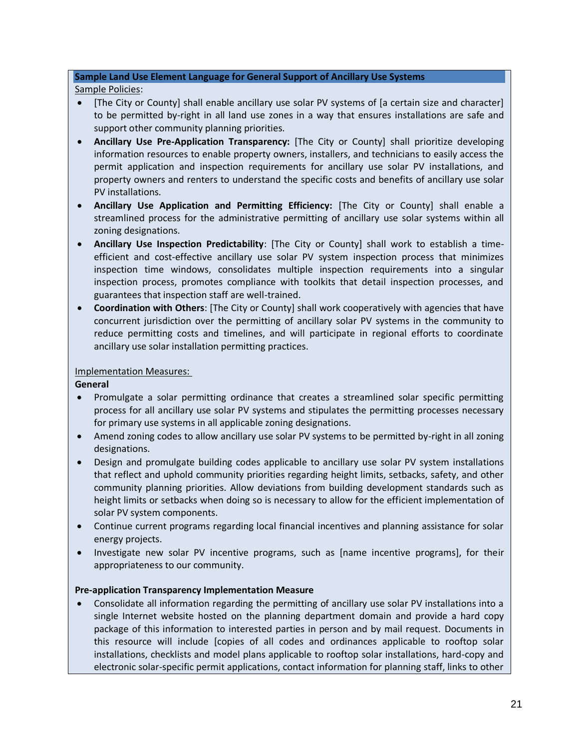#### **Sample Land Use Element Language for General Support of Ancillary Use Systems**

#### Sample Policies:

- [The City or County] shall enable ancillary use solar PV systems of [a certain size and character] to be permitted by-right in all land use zones in a way that ensures installations are safe and support other community planning priorities.
- **Ancillary Use Pre-Application Transparency:** [The City or County] shall prioritize developing information resources to enable property owners, installers, and technicians to easily access the permit application and inspection requirements for ancillary use solar PV installations, and property owners and renters to understand the specific costs and benefits of ancillary use solar PV installations.
- **Ancillary Use Application and Permitting Efficiency:** [The City or County] shall enable a streamlined process for the administrative permitting of ancillary use solar systems within all zoning designations.
- **Ancillary Use Inspection Predictability**: [The City or County] shall work to establish a timeefficient and cost-effective ancillary use solar PV system inspection process that minimizes inspection time windows, consolidates multiple inspection requirements into a singular inspection process, promotes compliance with toolkits that detail inspection processes, and guarantees that inspection staff are well-trained.
- **Coordination with Others**: [The City or County] shall work cooperatively with agencies that have concurrent jurisdiction over the permitting of ancillary solar PV systems in the community to reduce permitting costs and timelines, and will participate in regional efforts to coordinate ancillary use solar installation permitting practices.

#### Implementation Measures:

**General**

- Promulgate a solar permitting ordinance that creates a streamlined solar specific permitting process for all ancillary use solar PV systems and stipulates the permitting processes necessary for primary use systems in all applicable zoning designations.
- Amend zoning codes to allow ancillary use solar PV systems to be permitted by-right in all zoning designations.
- Design and promulgate building codes applicable to ancillary use solar PV system installations that reflect and uphold community priorities regarding height limits, setbacks, safety, and other community planning priorities. Allow deviations from building development standards such as height limits or setbacks when doing so is necessary to allow for the efficient implementation of solar PV system components.
- Continue current programs regarding local financial incentives and planning assistance for solar energy projects.
- Investigate new solar PV incentive programs, such as [name incentive programs], for their appropriateness to our community.

### **Pre-application Transparency Implementation Measure**

 Consolidate all information regarding the permitting of ancillary use solar PV installations into a single Internet website hosted on the planning department domain and provide a hard copy package of this information to interested parties in person and by mail request. Documents in this resource will include [copies of all codes and ordinances applicable to rooftop solar installations, checklists and model plans applicable to rooftop solar installations, hard-copy and electronic solar-specific permit applications, contact information for planning staff, links to other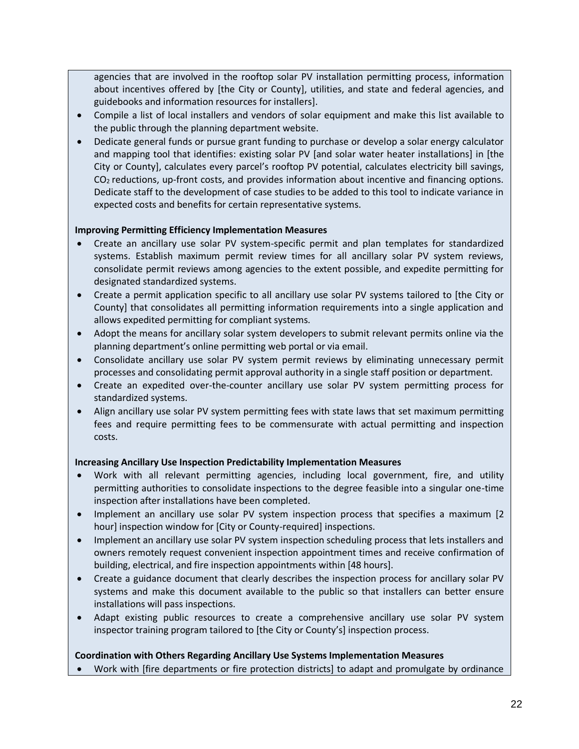agencies that are involved in the rooftop solar PV installation permitting process, information about incentives offered by [the City or County], utilities, and state and federal agencies, and guidebooks and information resources for installers].

- Compile a list of local installers and vendors of solar equipment and make this list available to the public through the planning department website.
- Dedicate general funds or pursue grant funding to purchase or develop a solar energy calculator and mapping tool that identifies: existing solar PV [and solar water heater installations] in [the City or County], calculates every parcel's rooftop PV potential, calculates electricity bill savings,  $CO<sub>2</sub>$  reductions, up-front costs, and provides information about incentive and financing options. Dedicate staff to the development of case studies to be added to this tool to indicate variance in expected costs and benefits for certain representative systems.

#### **Improving Permitting Efficiency Implementation Measures**

- Create an ancillary use solar PV system-specific permit and plan templates for standardized systems. Establish maximum permit review times for all ancillary solar PV system reviews, consolidate permit reviews among agencies to the extent possible, and expedite permitting for designated standardized systems.
- Create a permit application specific to all ancillary use solar PV systems tailored to [the City or County] that consolidates all permitting information requirements into a single application and allows expedited permitting for compliant systems.
- Adopt the means for ancillary solar system developers to submit relevant permits online via the planning department's online permitting web portal or via email.
- Consolidate ancillary use solar PV system permit reviews by eliminating unnecessary permit processes and consolidating permit approval authority in a single staff position or department.
- Create an expedited over-the-counter ancillary use solar PV system permitting process for standardized systems.
- Align ancillary use solar PV system permitting fees with state laws that set maximum permitting fees and require permitting fees to be commensurate with actual permitting and inspection costs.

#### **Increasing Ancillary Use Inspection Predictability Implementation Measures**

- Work with all relevant permitting agencies, including local government, fire, and utility permitting authorities to consolidate inspections to the degree feasible into a singular one-time inspection after installations have been completed.
- Implement an ancillary use solar PV system inspection process that specifies a maximum [2 hour] inspection window for [City or County-required] inspections.
- Implement an ancillary use solar PV system inspection scheduling process that lets installers and owners remotely request convenient inspection appointment times and receive confirmation of building, electrical, and fire inspection appointments within [48 hours].
- Create a guidance document that clearly describes the inspection process for ancillary solar PV systems and make this document available to the public so that installers can better ensure installations will pass inspections.
- Adapt existing public resources to create a comprehensive ancillary use solar PV system inspector training program tailored to [the City or County's] inspection process.

#### **Coordination with Others Regarding Ancillary Use Systems Implementation Measures**

Work with [fire departments or fire protection districts] to adapt and promulgate by ordinance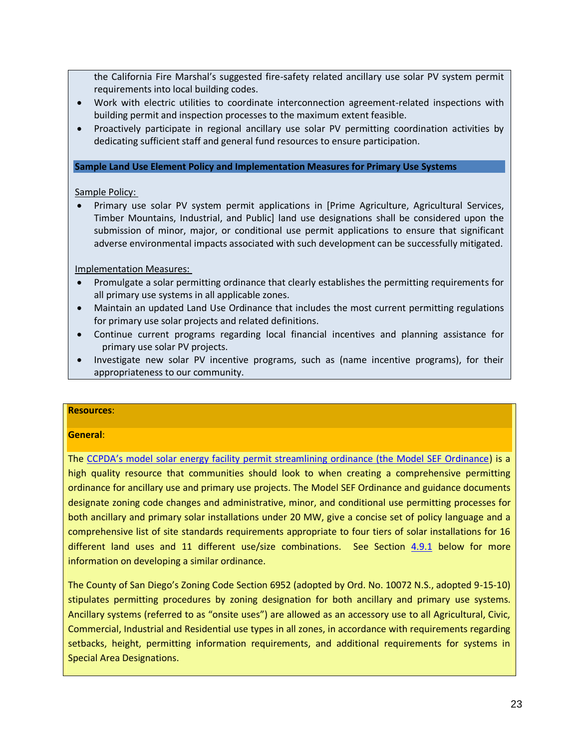the California Fire Marshal's suggested fire-safety related ancillary use solar PV system permit requirements into local building codes.

- Work with electric utilities to coordinate interconnection agreement-related inspections with building permit and inspection processes to the maximum extent feasible.
- Proactively participate in regional ancillary use solar PV permitting coordination activities by dedicating sufficient staff and general fund resources to ensure participation.

#### **Sample Land Use Element Policy and Implementation Measures for Primary Use Systems**

Sample Policy:

 Primary use solar PV system permit applications in [Prime Agriculture, Agricultural Services, Timber Mountains, Industrial, and Public] land use designations shall be considered upon the submission of minor, major, or conditional use permit applications to ensure that significant adverse environmental impacts associated with such development can be successfully mitigated.

Implementation Measures:

- Promulgate a solar permitting ordinance that clearly establishes the permitting requirements for all primary use systems in all applicable zones.
- Maintain an updated Land Use Ordinance that includes the most current permitting regulations for primary use solar projects and related definitions.
- Continue current programs regarding local financial incentives and planning assistance for primary use solar PV projects.
- Investigate new solar PV incentive programs, such as (name incentive programs), for their appropriateness to our community.

#### **Resources**:

#### **General**:

The CCPDA's [model solar energy facility permit streamlining ordinance \(the Model SEF Ordinance\)](http://www.ccpda.org/en/component/docman/doc_view/140-appendix-a-ccpda-model-sef-permit-streamlining-ordinance) is a high quality resource that communities should look to when creating a comprehensive permitting ordinance for ancillary use and primary use projects. The Model SEF Ordinance and guidance documents designate zoning code changes and administrative, minor, and conditional use permitting processes for both ancillary and primary solar installations under 20 MW, give a concise set of policy language and a comprehensive list of site standards requirements appropriate to four tiers of solar installations for 16 different land uses and 11 different use/size combinations. See Section [4.9.1](#page-40-0) below for more information on developing a similar ordinance.

The County of San Diego's Zoning Code Section 6952 (adopted by Ord. No. 10072 N.S., adopted 9-15-10) stipulates permitting procedures by zoning designation for both ancillary and primary use systems. Ancillary systems (referred to as "onsite uses") are allowed as an accessory use to all Agricultural, Civic, Commercial, Industrial and Residential use types in all zones, in accordance with requirements regarding setbacks, height, permitting information requirements, and additional requirements for systems in Special Area Designations.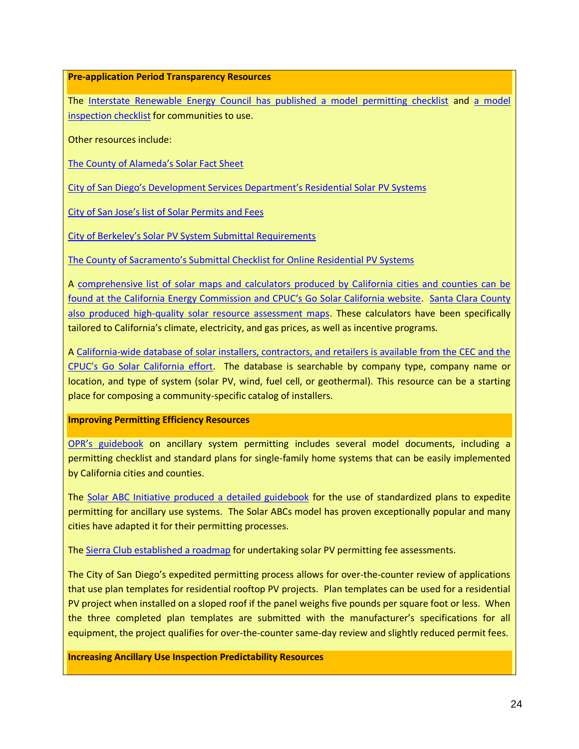**Pre-application Period Transparency Resources**

The [Interstate Renewable Energy Council has published a model permitting checklist](http://www.irecusa.org/wp-content/uploads/permitting-handoutv6-1.pdf) and [a model](http://www.irecusa.org/wp-content/uploads/2013/09/Model-Inspection-Checklist.pdf)  [inspection checklist](http://www.irecusa.org/wp-content/uploads/2013/09/Model-Inspection-Checklist.pdf) for communities to use.

Other resources include:

[The County of Alameda's Solar Fact Sheet](http://www.acgov.org/pwa/documents/Residential-Roof-PV-Permit.pdf)

[City of San Diego's Development Services Department's Residential Solar](http://www.sandiego.gov/development-services/homeownr/residentialsolar/index.shtml) PV Systems

City of Sa[n Jose's list of Solar Permits a](http://www.sanjoseca.gov/index.aspx?nid=1505)nd Fees

City of Berkeley's Solar [PV System Submittal Requirements](http://www.ci.berkeley.ca.us/uploadedFiles/Online_Service_Center/Planning/Solar%20PV%20System%20Submittal%20Requirements%207-31-13.pdf)

[The County of Sacramento's Submittal Checklist for Online Residential PV Systems](http://www.building.saccounty.net/BIDocs/EC-31%20-%20PV%20Solar%20Checklist.pdf)

A comprehensive list of solar [maps and calculators produced by California cities and counties](http://www.gosolarcalifornia.org/tools/calculators.php) can be [found at the California Energy Commission and CPUC's Go Solar California website](http://www.gosolarcalifornia.org/tools/calculators.php). [Santa Clara County](http://www.sccgov.org/sites/planning/PlansPrograms/Solar/Documents/Solar_maps.pdf)  [also produced high-quality solar resource assessment maps.](http://www.sccgov.org/sites/planning/PlansPrograms/Solar/Documents/Solar_maps.pdf) These calculators have been specifically tailored to California's climate, electricity, and gas prices, as well as incentive programs.

A [California-wide database of solar installers, contractors, and retailers is available from the CEC and the](http://www.gosolarcalifornia.org/database/search-new.php)  [CPUC's Go Solar California effort](http://www.gosolarcalifornia.org/database/search-new.php). The database is searchable by company type, company name or location, and type of system (solar PV, wind, fuel cell, or geothermal). This resource can be a starting place for composing a community-specific catalog of installers.

#### **Improving Permitting Efficiency Resources**

OPR's [guidebook](http://opr.ca.gov/docs/California_Solar_Permitting_Guidebook.pdf) on ancillary system permitting includes several model documents, including a permitting checklist and standard plans for single-family home systems that can be easily implemented by California cities and counties.

The [Solar ABC Initiative produced a detailed guidebook](http://www.solarabcs.org/about/publications/reports/expedited-permit/pdfs/Expermitprocess.pdf) for the use of standardized plans to expedite permitting for ancillary use systems. The Solar ABCs model has proven exceptionally popular and many cities have adapted it for their permitting processes.

The [Sierra Club established a roadmap](http://www.solarpermitfees.org/NorCalPVFeeReport.pdf) for undertaking solar PV permitting fee assessments.

The City of San Diego's expedited permitting process allows for over-the-counter review of applications that use plan templates for residential rooftop PV projects. Plan templates can be used for a residential PV project when installed on a sloped roof if the panel weighs five pounds per square foot or less. When the three completed plan templates are submitted with the manufacturer's specifications for all equipment, the project qualifies for over-the-counter same-day review and slightly reduced permit fees.

**Increasing Ancillary Use Inspection Predictability Resources**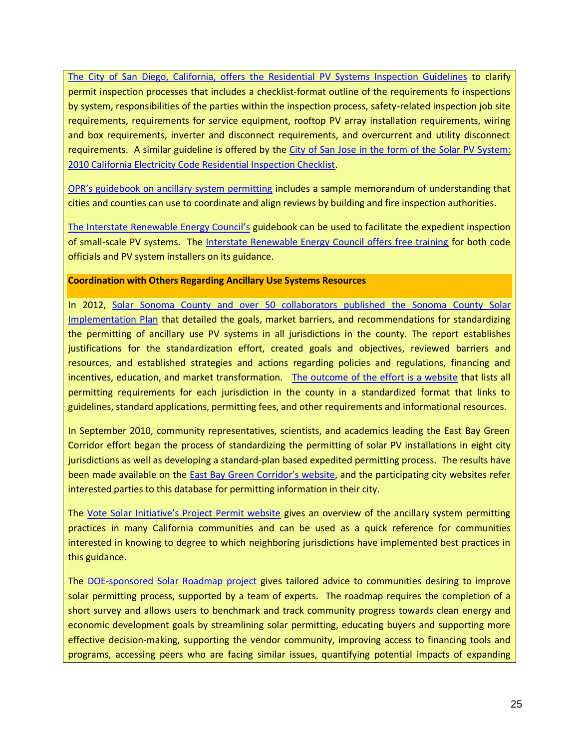[The City of San Diego, California, offers the Residential PV](http://www.sandiego.gov/development-services/pdf/pvinspectionguidelines.pdf) Systems Inspection Guidelines to clarify permit inspection processes that includes a checklist-format outline of the requirements fo inspections by system, responsibilities of the parties within the inspection process, safety-related inspection job site requirements, requirements for service equipment, rooftop PV array installation requirements, wiring and box requirements, inverter and disconnect requirements, and overcurrent and utility disconnect requirements. A similar guideline is offered by the [City of San Jose in the form of the Solar PV](http://www.sanjoseca.gov/documentcenter/view/1760) System: [2010 California Electricity Code Residential Inspection Checklist.](http://www.sanjoseca.gov/documentcenter/view/1760)

[OPR's guidebook on ancillary system permitting](http://opr.ca.gov/docs/California_Solar_Permitting_Guidebook.pdf) includes a sample memorandum of understanding that cities and counties can use to coordinate and align reviews by building and fire inspection authorities.

[The Interstate Renewable Energy Council](http://http/www.irecusa.org/wp-content/uploads/2010/07/PV-Field-Inspection-Guide-June-2010-F-1.pdf)'s guidebook can be used to facilitate the expedient inspection of small-scale PV systems. The [Interstate Renewable Energy Council offers free training](http://www.irecusa.org/workforce-education/solar-instructor-training-network) for both code officials and PV system installers on its guidance.

#### **Coordination with Others Regarding Ancillary Use Systems Resources**

In 2012, [Solar Sonoma County and over 50 collaborators published](http://www4.eere.energy.gov/solar/sunshot/resource_center/sites/default/files/solar_implementation_plan_final-05-10-10.pdf) the Sonoma County Solar [Implementation Plan](http://www4.eere.energy.gov/solar/sunshot/resource_center/sites/default/files/solar_implementation_plan_final-05-10-10.pdf) that detailed the goals, market barriers, and recommendations for standardizing the permitting of ancillary use PV systems in all jurisdictions in the county. The report establishes justifications for the standardization effort, created goals and objectives, reviewed barriers and resources, and established strategies and actions regarding policies and regulations, financing and incentives, education, and market transformation. [The outcome of the effort is a website](http://www.solarsonomacounty.org/mobile/contractor-tools/contractor-tools.aspx) that lists all permitting requirements for each jurisdiction in the county in a standardized format that links to guidelines, standard applications, permitting fees, and other requirements and informational resources.

In September 2010, community representatives, scientists, and academics leading the East Bay Green Corridor effort began the process of standardizing the permitting of solar PV installations in eight city jurisdictions as well as developing a standard-plan based expedited permitting process. The results have been made available on the [East Bay Green Cor](http://www.ebgreencorridor.org/rapid_pv_permit_introduction.php)ridor's website, and the participating city websites refer interested parties to this database for permitting information in their city.

The [Vote Solar Initiative's Project Permit website](http://votesolar.org/campaigns/projectpermit/) gives an overview of the ancillary system permitting practices in many California communities and can be used as a quick reference for communities interested in knowing to degree to which neighboring jurisdictions have implemented best practices in this guidance.

The [DOE-sponsored Solar Roadmap project](http://www.solarroadmap.com/what-is-srm/) gives tailored advice to communities desiring to improve solar permitting process, supported by a team of experts. The roadmap requires the completion of a short survey and allows users to benchmark and track community progress towards clean energy and economic development goals by streamlining solar permitting, educating buyers and supporting more effective decision-making, supporting the vendor community, improving access to financing tools and programs, accessing peers who are facing similar issues, quantifying potential impacts of expanding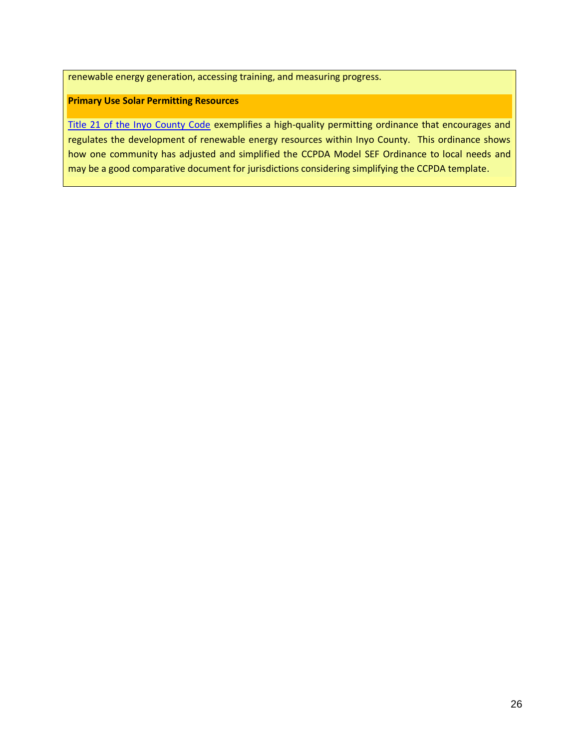renewable energy generation, accessing training, and measuring progress.

#### **Primary Use Solar Permitting Resources**

[Title 21 of the Inyo County Code](http://www.basinandrangewatch.org/Inyo-RenewableEnergyOrdinance--revised%208-3-10.pdf) exemplifies a high-quality permitting ordinance that encourages and regulates the development of renewable energy resources within Inyo County. This ordinance shows how one community has adjusted and simplified the CCPDA Model SEF Ordinance to local needs and may be a good comparative document for jurisdictions considering simplifying the CCPDA template.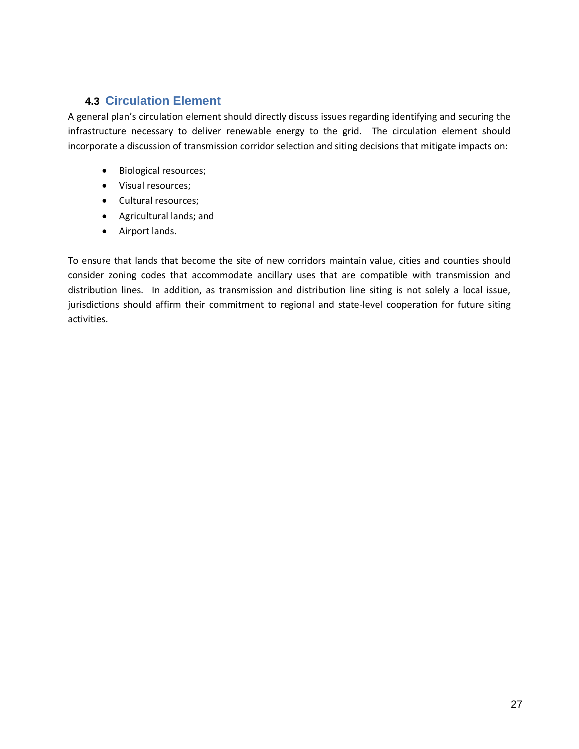# **4.3 Circulation Element**

A general plan's circulation element should directly discuss issues regarding identifying and securing the infrastructure necessary to deliver renewable energy to the grid. The circulation element should incorporate a discussion of transmission corridor selection and siting decisions that mitigate impacts on:

- Biological resources;
- Visual resources;
- Cultural resources;
- Agricultural lands; and
- Airport lands.

To ensure that lands that become the site of new corridors maintain value, cities and counties should consider zoning codes that accommodate ancillary uses that are compatible with transmission and distribution lines. In addition, as transmission and distribution line siting is not solely a local issue, jurisdictions should affirm their commitment to regional and state-level cooperation for future siting activities.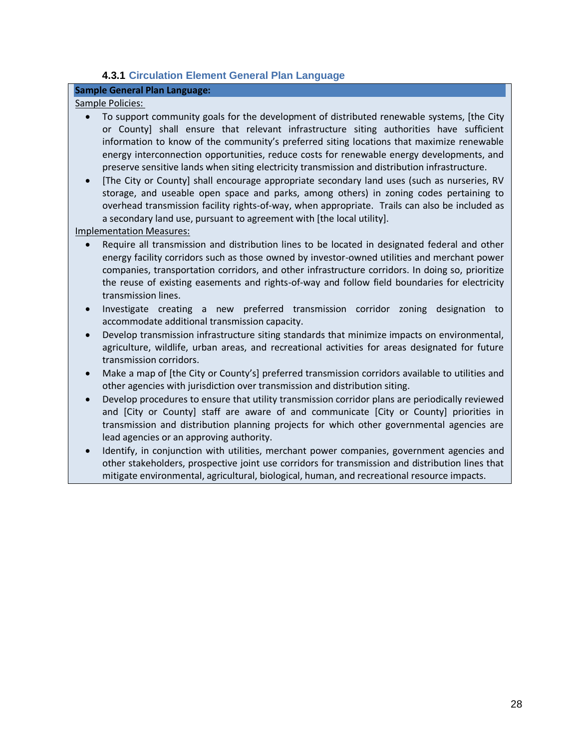### **4.3.1 Circulation Element General Plan Language**

### **Sample General Plan Language:**

#### Sample Policies:

- To support community goals for the development of distributed renewable systems, [the City or County] shall ensure that relevant infrastructure siting authorities have sufficient information to know of the community's preferred siting locations that maximize renewable energy interconnection opportunities, reduce costs for renewable energy developments, and preserve sensitive lands when siting electricity transmission and distribution infrastructure.
- [The City or County] shall encourage appropriate secondary land uses (such as nurseries, RV storage, and useable open space and parks, among others) in zoning codes pertaining to overhead transmission facility rights-of-way, when appropriate. Trails can also be included as a secondary land use, pursuant to agreement with [the local utility].

#### Implementation Measures:

- Require all transmission and distribution lines to be located in designated federal and other energy facility corridors such as those owned by investor-owned utilities and merchant power companies, transportation corridors, and other infrastructure corridors. In doing so, prioritize the reuse of existing easements and rights-of-way and follow field boundaries for electricity transmission lines.
- Investigate creating a new preferred transmission corridor zoning designation to accommodate additional transmission capacity.
- Develop transmission infrastructure siting standards that minimize impacts on environmental, agriculture, wildlife, urban areas, and recreational activities for areas designated for future transmission corridors.
- Make a map of [the City or County's] preferred transmission corridors available to utilities and other agencies with jurisdiction over transmission and distribution siting.
- Develop procedures to ensure that utility transmission corridor plans are periodically reviewed and [City or County] staff are aware of and communicate [City or County] priorities in transmission and distribution planning projects for which other governmental agencies are lead agencies or an approving authority.
- Identify, in conjunction with utilities, merchant power companies, government agencies and other stakeholders, prospective joint use corridors for transmission and distribution lines that mitigate environmental, agricultural, biological, human, and recreational resource impacts.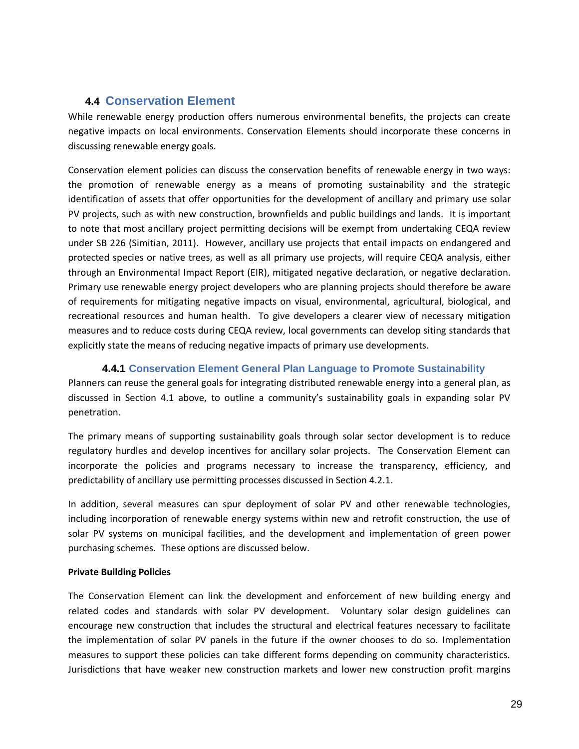# **4.4 Conservation Element**

While renewable energy production offers numerous environmental benefits, the projects can create negative impacts on local environments. Conservation Elements should incorporate these concerns in discussing renewable energy goals.

Conservation element policies can discuss the conservation benefits of renewable energy in two ways: the promotion of renewable energy as a means of promoting sustainability and the strategic identification of assets that offer opportunities for the development of ancillary and primary use solar PV projects, such as with new construction, brownfields and public buildings and lands. It is important to note that most ancillary project permitting decisions will be exempt from undertaking CEQA review under SB 226 (Simitian, 2011). However, ancillary use projects that entail impacts on endangered and protected species or native trees, as well as all primary use projects, will require CEQA analysis, either through an Environmental Impact Report (EIR), mitigated negative declaration, or negative declaration. Primary use renewable energy project developers who are planning projects should therefore be aware of requirements for mitigating negative impacts on visual, environmental, agricultural, biological, and recreational resources and human health. To give developers a clearer view of necessary mitigation measures and to reduce costs during CEQA review, local governments can develop siting standards that explicitly state the means of reducing negative impacts of primary use developments.

### <span id="page-28-0"></span>**4.4.1 Conservation Element General Plan Language to Promote Sustainability**

Planners can reuse the general goals for integrating distributed renewable energy into a general plan, as discussed in Section [4.1](#page-16-0) above, to outline a community's sustainability goals in expanding solar PV penetration.

The primary means of supporting sustainability goals through solar sector development is to reduce regulatory hurdles and develop incentives for ancillary solar projects. The Conservation Element can incorporate the policies and programs necessary to increase the transparency, efficiency, and predictability of ancillary use permitting processes discussed in Section [4.2.1.](#page-19-1)

In addition, several measures can spur deployment of solar PV and other renewable technologies, including incorporation of renewable energy systems within new and retrofit construction, the use of solar PV systems on municipal facilities, and the development and implementation of green power purchasing schemes. These options are discussed below.

#### **Private Building Policies**

The Conservation Element can link the development and enforcement of new building energy and related codes and standards with solar PV development. Voluntary solar design guidelines can encourage new construction that includes the structural and electrical features necessary to facilitate the implementation of solar PV panels in the future if the owner chooses to do so. Implementation measures to support these policies can take different forms depending on community characteristics. Jurisdictions that have weaker new construction markets and lower new construction profit margins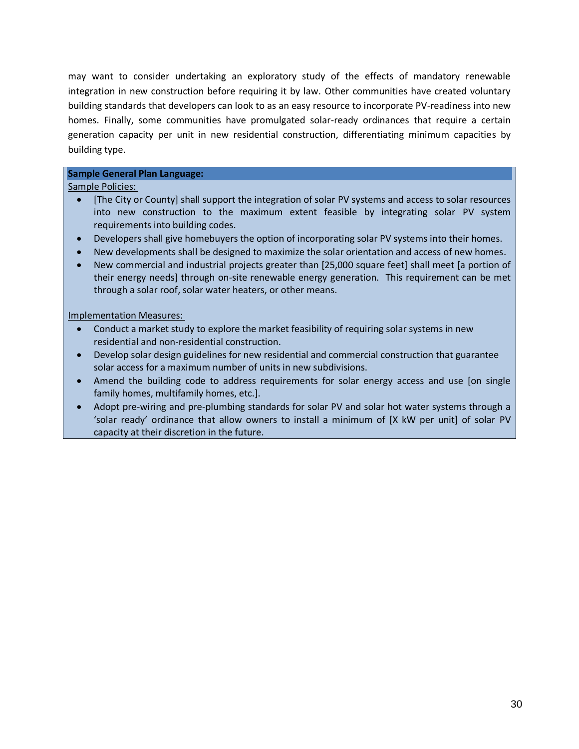may want to consider undertaking an exploratory study of the effects of mandatory renewable integration in new construction before requiring it by law. Other communities have created voluntary building standards that developers can look to as an easy resource to incorporate PV-readiness into new homes. Finally, some communities have promulgated solar-ready ordinances that require a certain generation capacity per unit in new residential construction, differentiating minimum capacities by building type.

#### **Sample General Plan Language:**

#### Sample Policies:

- [The City or County] shall support the integration of solar PV systems and access to solar resources into new construction to the maximum extent feasible by integrating solar PV system requirements into building codes.
- Developers shall give homebuyers the option of incorporating solar PV systems into their homes.
- New developments shall be designed to maximize the solar orientation and access of new homes.
- New commercial and industrial projects greater than [25,000 square feet] shall meet [a portion of their energy needs] through on-site renewable energy generation. This requirement can be met through a solar roof, solar water heaters, or other means.

#### Implementation Measures:

- Conduct a market study to explore the market feasibility of requiring solar systems in new residential and non-residential construction.
- Develop solar design guidelines for new residential and commercial construction that guarantee solar access for a maximum number of units in new subdivisions.
- Amend the building code to address requirements for solar energy access and use [on single family homes, multifamily homes, etc.].
- Adopt pre-wiring and pre-plumbing standards for solar PV and solar hot water systems through a 'solar ready' ordinance that allow owners to install a minimum of [X kW per unit] of solar PV capacity at their discretion in the future.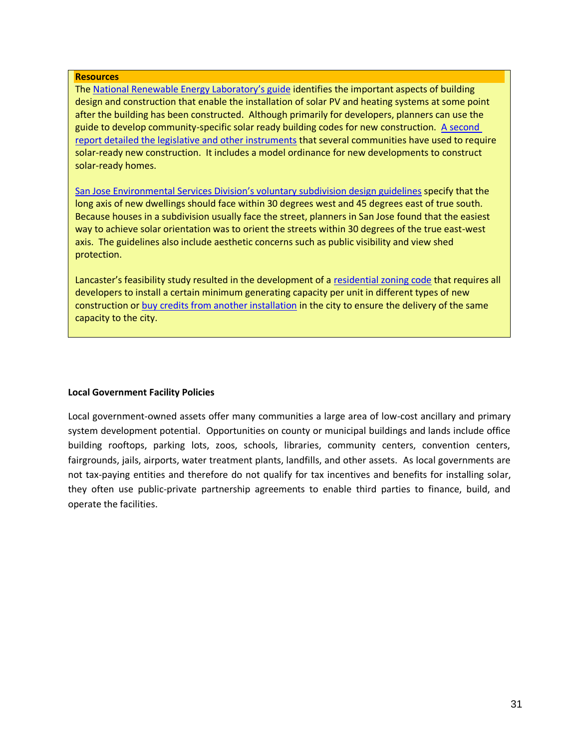#### **Resources**

Th[e National Renewable Energy Laboratory](http://www.nrel.gov/docs/fy10osti/46078.pdf)'s guide identifies the important aspects of building design and construction that enable the installation of solar PV and heating systems at some point after the building has been constructed. Although primarily for developers, planners can use the guide to develop community-specific solar ready building codes for new construction. [A second](http://www.nrel.gov/docs/fy12osti/51296.pdf)  report detailed [the legislative and other instruments](http://www.nrel.gov/docs/fy12osti/51296.pdf) that several communities have used to require solar-ready new construction. It includes a model ordinance for new developments to construct solar-ready homes.

[San Jose Environmental Services Division](http://www.dsireusa.org/incentives/incentive.cfm?Incentive_Code=CA11R&re=1&ee=0)'s voluntary subdivision design guidelines specify that the long axis of new dwellings should face within 30 degrees west and 45 degrees east of true south. Because houses in a subdivision usually face the street, planners in San Jose found that the easiest way to achieve solar orientation was to orient the streets within 30 degrees of the true east-west axis. The guidelines also include aesthetic concerns such as public visibility and view shed protection.

Lancaster's feasibility study resulted in the development of a [residential zoning code](http://www.cityoflancasterca.org/index.aspx?page=1279) that requires all developers to install a certain minimum generating capacity per unit in different types of new construction or [buy credits from another installation](http://library.municode.com/HTML/16042/level3/TIT17ZO_CH17.08REZO_ARTVSOWIALENUS.html) in the city to ensure the delivery of the same capacity to the city.

#### **Local Government Facility Policies**

Local government-owned assets offer many communities a large area of low-cost ancillary and primary system development potential. Opportunities on county or municipal buildings and lands include office building rooftops, parking lots, zoos, schools, libraries, community centers, convention centers, fairgrounds, jails, airports, water treatment plants, landfills, and other assets. As local governments are not tax-paying entities and therefore do not qualify for tax incentives and benefits for installing solar, they often use public-private partnership agreements to enable third parties to finance, build, and operate the facilities.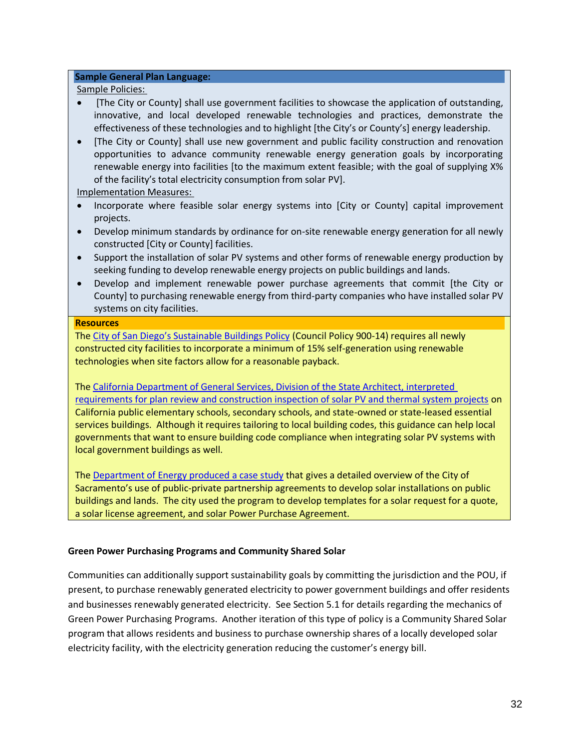#### **Sample General Plan Language:**

#### Sample Policies:

- [The City or County] shall use government facilities to showcase the application of outstanding, innovative, and local developed renewable technologies and practices, demonstrate the effectiveness of these technologies and to highlight [the City's or County's] energy leadership.
- [The City or County] shall use new government and public facility construction and renovation opportunities to advance community renewable energy generation goals by incorporating renewable energy into facilities [to the maximum extent feasible; with the goal of supplying X% of the facility's total electricity consumption from solar PV].

Implementation Measures:

- Incorporate where feasible solar energy systems into [City or County] capital improvement projects.
- Develop minimum standards by ordinance for on-site renewable energy generation for all newly constructed [City or County] facilities.
- Support the installation of solar PV systems and other forms of renewable energy production by seeking funding to develop renewable energy projects on public buildings and lands.
- Develop and implement renewable power purchase agreements that commit [the City or County] to purchasing renewable energy from third-party companies who have installed solar PV systems on city facilities.

#### **Resources**

The [City of San Diego's Sustainable Buildings Policy](http://docs.sandiego.gov/councilpolicies/cpd_900-14.pdf) (Council Policy 900-14) requires all newly constructed city facilities to incorporate a minimum of 15% self-generation using renewable technologies when site factors allow for a reasonable payback.

Th[e California Department of General Services, Division of the State Architect, interpreted](http://www.documents.dgs.ca.gov/dsa/pubs/IR_16-8_rev10-16-12.pdf)  requirements for plan [review and construction inspection of solar PV and thermal system projects](http://www.documents.dgs.ca.gov/dsa/pubs/IR_16-8_rev10-16-12.pdf) on California public elementary schools, secondary schools, and state-owned or state-leased essential services buildings. Although it requires tailoring to local building codes, this guidance can help local governments that want to ensure building code compliance when integrating solar PV systems with local government buildings as well.

Th[e Department of Energy produced a case study](http://www1.eere.energy.gov/solar/pdfs/51057_sacramento.pdf) that gives a detailed overview of the City of Sacramento's use of public-private partnership agreements to develop solar installations on public buildings and lands. The city used the program to develop templates for a solar request for a quote, a solar license agreement, and solar Power Purchase Agreement.

### **Green Power Purchasing Programs and Community Shared Solar**

Communities can additionally support sustainability goals by committing the jurisdiction and the POU, if present, to purchase renewably generated electricity to power government buildings and offer residents and businesses renewably generated electricity. See Section [5.1](#page-46-0) for details regarding the mechanics of Green Power Purchasing Programs. Another iteration of this type of policy is a Community Shared Solar program that allows residents and business to purchase ownership shares of a locally developed solar electricity facility, with the electricity generation reducing the customer's energy bill.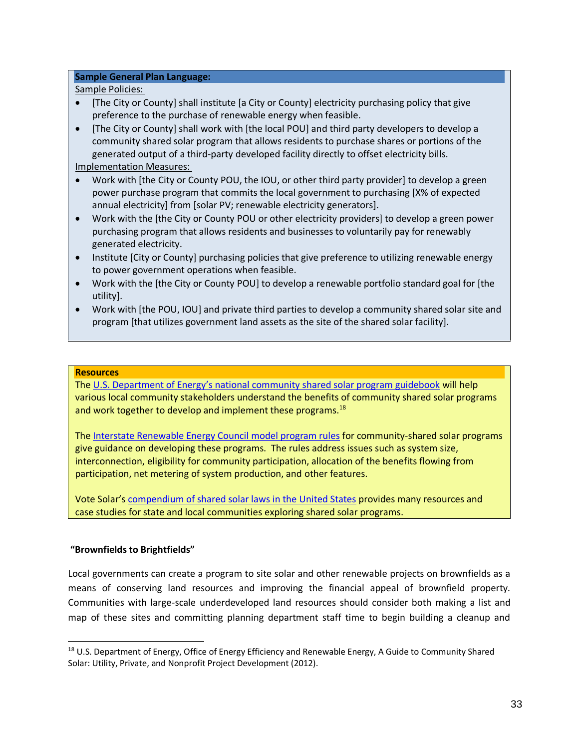#### **Sample General Plan Language:**

Sample Policies:

- [The City or County] shall institute [a City or County] electricity purchasing policy that give preference to the purchase of renewable energy when feasible.
- [The City or County] shall work with [the local POU] and third party developers to develop a community shared solar program that allows residents to purchase shares or portions of the generated output of a third-party developed facility directly to offset electricity bills.

Implementation Measures:

- Work with [the City or County POU, the IOU, or other third party provider] to develop a green power purchase program that commits the local government to purchasing [X% of expected annual electricity] from [solar PV; renewable electricity generators].
- Work with the [the City or County POU or other electricity providers] to develop a green power purchasing program that allows residents and businesses to voluntarily pay for renewably generated electricity.
- Institute [City or County] purchasing policies that give preference to utilizing renewable energy to power government operations when feasible.
- Work with the [the City or County POU] to develop a renewable portfolio standard goal for [the utility].
- Work with [the POU, IOU] and private third parties to develop a community shared solar site and program [that utilizes government land assets as the site of the shared solar facility].

#### **Resources**

The U.S. Department of Energy's [national community shared solar program guidebook](http://www.nrel.gov/docs/fy12osti/54570.pdf) will help various local community stakeholders understand the benefits of community shared solar programs and work together to develop and implement these programs.<sup>18</sup>

Th[e Interstate Renewable Energy Council model program rules](http://www.irecusa.org/wp-content/uploads/2013/06/IREC-Model-Rules-for-Shared-Renewable-Energy-Programs-2013.pdf) for community-shared solar programs give guidance on developing these programs. The rules address issues such as system size, interconnection, eligibility for community participation, allocation of the benefits flowing from participation, net metering of system production, and other features.

 Vote Solar's [compendium of shared solar laws in the United States](http://www.sharedrenewables.org/) provides many resources and case studies for state and local communities exploring shared solar programs.

### **"Brownfields to Brightfields"**

Local governments can create a program to site solar and other renewable projects on brownfields as a means of conserving land resources and improving the financial appeal of brownfield property. Communities with large-scale underdeveloped land resources should consider both making a list and map of these sites and committing planning department staff time to begin building a cleanup and

<sup>&</sup>lt;sup>18</sup> U.S. Department of Energy, Office of Energy Efficiency and Renewable Energy, A Guide to Community Shared Solar: Utility, Private, and Nonprofit Project Development (2012).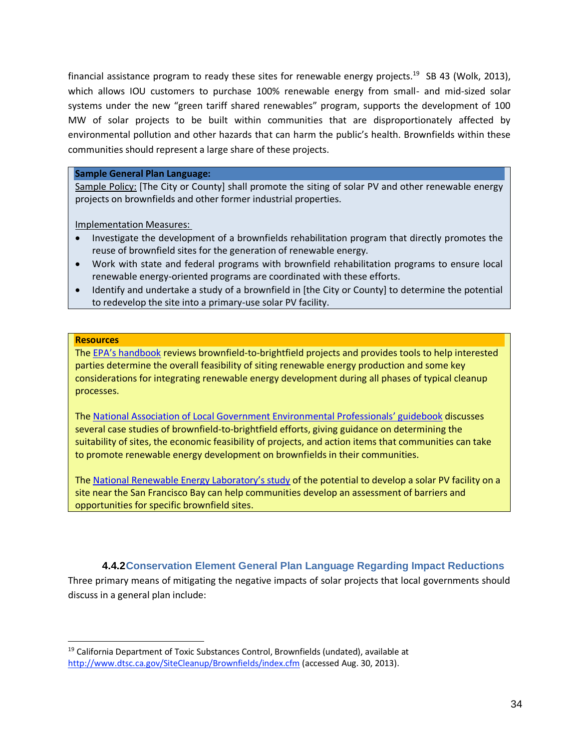financial assistance program to ready these sites for renewable energy projects.<sup>19</sup> SB 43 (Wolk, 2013), which allows IOU customers to purchase 100% renewable energy from small- and mid-sized solar systems under the new "green tariff shared renewables" program, supports the development of 100 MW of solar projects to be built within communities that are disproportionately affected by environmental pollution and other hazards that can harm the public's health. Brownfields within these communities should represent a large share of these projects.

#### **Sample General Plan Language:**

Sample Policy: [The City or County] shall promote the siting of solar PV and other renewable energy projects on brownfields and other former industrial properties.

Implementation Measures:

- Investigate the development of a brownfields rehabilitation program that directly promotes the reuse of brownfield sites for the generation of renewable energy.
- Work with state and federal programs with brownfield rehabilitation programs to ensure local renewable energy-oriented programs are coordinated with these efforts.
- Identify and undertake a study of a brownfield in [the City or County] to determine the potential to redevelop the site into a primary-use solar PV facility.

#### **Resources**

The EPA's [handbook](http://www.epa.gov/oswercpa/docs/handbook_siting_repowering_projects.pdf) reviews brownfield-to-brightfield projects and provides tools to help interested parties determine the overall feasibility of siting renewable energy production and some key considerations for integrating renewable energy development during all phases of typical cleanup processes.

Th[e National Association of Local Government Environmental Professionals](http://www.nalgep.org/uploads/pdf/publi02.pdf)' guidebook discusses several case studies of brownfield-to-brightfield efforts, giving guidance on determining the suitability of sites, the economic feasibility of projects, and action items that communities can take to promote renewable energy development on brownfields in their communities.

The Nati[onal Renewable Energy Laboratory's study](http://www.nrel.gov/docs/fy13osti/57357.pdf) of the potential to develop a solar PV facility on a site near the San Francisco Bay can help communities develop an assessment of barriers and opportunities for specific brownfield sites.

### **4.4.2Conservation Element General Plan Language Regarding Impact Reductions**

Three primary means of mitigating the negative impacts of solar projects that local governments should discuss in a general plan include:

<sup>19</sup> California Department of Toxic Substances Control, Brownfields (undated), available at <http://www.dtsc.ca.gov/SiteCleanup/Brownfields/index.cfm> (accessed Aug. 30, 2013).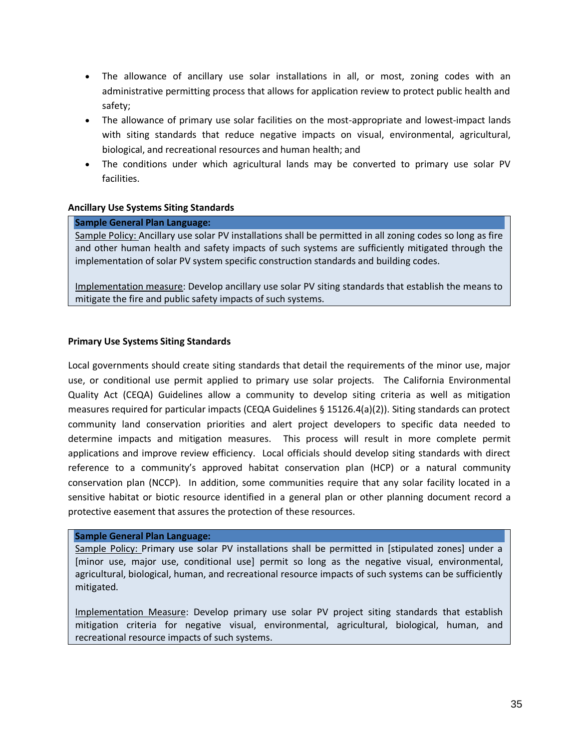- The allowance of ancillary use solar installations in all, or most, zoning codes with an administrative permitting process that allows for application review to protect public health and safety;
- The allowance of primary use solar facilities on the most-appropriate and lowest-impact lands with siting standards that reduce negative impacts on visual, environmental, agricultural, biological, and recreational resources and human health; and
- The conditions under which agricultural lands may be converted to primary use solar PV facilities.

#### **Ancillary Use Systems Siting Standards**

#### **Sample General Plan Language:**

Sample Policy: Ancillary use solar PV installations shall be permitted in all zoning codes so long as fire and other human health and safety impacts of such systems are sufficiently mitigated through the implementation of solar PV system specific construction standards and building codes.

Implementation measure: Develop ancillary use solar PV siting standards that establish the means to mitigate the fire and public safety impacts of such systems.

#### **Primary Use Systems Siting Standards**

Local governments should create siting standards that detail the requirements of the minor use, major use, or conditional use permit applied to primary use solar projects. The California Environmental Quality Act (CEQA) Guidelines allow a community to develop siting criteria as well as mitigation measures required for particular impacts (CEQA Guidelines § 15126.4(a)(2)). Siting standards can protect community land conservation priorities and alert project developers to specific data needed to determine impacts and mitigation measures. This process will result in more complete permit applications and improve review efficiency. Local officials should develop siting standards with direct reference to a community's approved habitat conservation plan (HCP) or a natural community conservation plan (NCCP). In addition, some communities require that any solar facility located in a sensitive habitat or biotic resource identified in a general plan or other planning document record a protective easement that assures the protection of these resources.

#### **Sample General Plan Language:**

Sample Policy: Primary use solar PV installations shall be permitted in [stipulated zones] under a [minor use, major use, conditional use] permit so long as the negative visual, environmental, agricultural, biological, human, and recreational resource impacts of such systems can be sufficiently mitigated.

Implementation Measure: Develop primary use solar PV project siting standards that establish mitigation criteria for negative visual, environmental, agricultural, biological, human, and recreational resource impacts of such systems.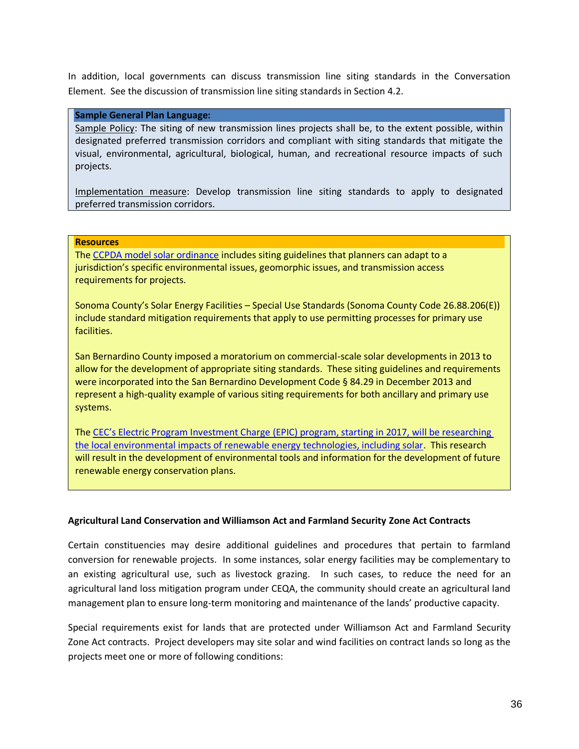In addition, local governments can discuss transmission line siting standards in the Conversation Element. See the discussion of transmission line siting standards in Section [4.2.](#page-19-0)

#### **Sample General Plan Language:**

Sample Policy: The siting of new transmission lines projects shall be, to the extent possible, within designated preferred transmission corridors and compliant with siting standards that mitigate the visual, environmental, agricultural, biological, human, and recreational resource impacts of such projects.

Implementation measure: Develop transmission line siting standards to apply to designated preferred transmission corridors.

#### **Resources**

Th[e CCPDA model solar ordinance](http://www.ccpda.org/en/component/docman/doc_view/140-appendix-a-ccpda-model-sef-permit-streamlining-ordinance) includes siting guidelines that planners can adapt to a jurisdiction's specific environmental issues, geomorphic issues, and transmission access requirements for projects.

Sonoma County's Solar Energy Facilities – Special Use Standards (Sonoma County Code 26.88.206(E)) include standard mitigation requirements that apply to use permitting processes for primary use facilities.

San Bernardino County imposed a moratorium on commercial-scale solar developments in 2013 to allow for the development of appropriate siting standards. These siting guidelines and requirements were incorporated into the San Bernardino Development Code § 84.29 in December 2013 and represent a high-quality example of various siting requirements for both ancillary and primary use systems.

The CEC's [Electric Program Investment Charge \(EPIC\)](http://www.energy.ca.gov/2014publications/CEC-500-2014-038/CEC-500-2014-038-CMF.pdf) program, starting in 2017, will be researching [the local environmental impacts of renewable energy technologies, including solar.](http://www.energy.ca.gov/2014publications/CEC-500-2014-038/CEC-500-2014-038-CMF.pdf) This research will result in the development of environmental tools and information for the development of future renewable energy conservation plans.

#### **Agricultural Land Conservation and Williamson Act and Farmland Security Zone Act Contracts**

Certain constituencies may desire additional guidelines and procedures that pertain to farmland conversion for renewable projects. In some instances, solar energy facilities may be complementary to an existing agricultural use, such as livestock grazing. In such cases, to reduce the need for an agricultural land loss mitigation program under CEQA, the community should create an agricultural land management plan to ensure long-term monitoring and maintenance of the lands' productive capacity.

Special requirements exist for lands that are protected under Williamson Act and Farmland Security Zone Act contracts. Project developers may site solar and wind facilities on contract lands so long as the projects meet one or more of following conditions: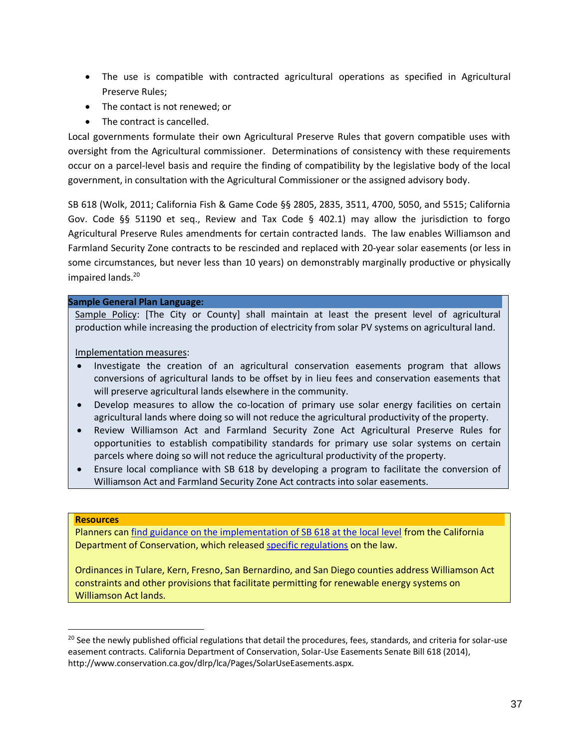- The use is compatible with contracted agricultural operations as specified in Agricultural Preserve Rules;
- The contact is not renewed: or
- The contract is cancelled.

Local governments formulate their own Agricultural Preserve Rules that govern compatible uses with oversight from the Agricultural commissioner. Determinations of consistency with these requirements occur on a parcel-level basis and require the finding of compatibility by the legislative body of the local government, in consultation with the Agricultural Commissioner or the assigned advisory body.

SB 618 (Wolk, 2011; California Fish & Game Code §§ 2805, 2835, 3511, 4700, 5050, and 5515; California Gov. Code §§ 51190 et seq., Review and Tax Code § 402.1) may allow the jurisdiction to forgo Agricultural Preserve Rules amendments for certain contracted lands. The law enables Williamson and Farmland Security Zone contracts to be rescinded and replaced with 20-year solar easements (or less in some circumstances, but never less than 10 years) on demonstrably marginally productive or physically impaired lands.<sup>20</sup>

#### **Sample General Plan Language:**

Sample Policy: [The City or County] shall maintain at least the present level of agricultural production while increasing the production of electricity from solar PV systems on agricultural land.

Implementation measures:

- Investigate the creation of an agricultural conservation easements program that allows conversions of agricultural lands to be offset by in lieu fees and conservation easements that will preserve agricultural lands elsewhere in the community.
- Develop measures to allow the co-location of primary use solar energy facilities on certain agricultural lands where doing so will not reduce the agricultural productivity of the property.
- Review Williamson Act and Farmland Security Zone Act Agricultural Preserve Rules for opportunities to establish compatibility standards for primary use solar systems on certain parcels where doing so will not reduce the agricultural productivity of the property.
- Ensure local compliance with SB 618 by developing a program to facilitate the conversion of Williamson Act and Farmland Security Zone Act contracts into solar easements.

#### **Resources**

Planners can [find guidance on the implementation of SB 618 at the local level](http://www.conservation.ca.gov/dlrp/lca/Documents/Senate%20Bill%20618%20-%20Advisory%20Statement%20(FINAL)%202-1-12.pdf) from the California Department of Conservation, which released [specific regulations](http://www.conservation.ca.gov/dlrp/lca/Pages/SolarUseEasements.aspx) on the law.

Ordinances in Tulare, Kern, Fresno, San Bernardino, and San Diego counties address Williamson Act constraints and other provisions that facilitate permitting for renewable energy systems on Williamson Act lands.

<sup>&</sup>lt;sup>20</sup> See the newly published official regulations that detail the procedures, fees, standards, and criteria for solar-use easement contracts. California Department of Conservation, Solar-Use Easements Senate Bill 618 (2014), http://www.conservation.ca.gov/dlrp/lca/Pages/SolarUseEasements.aspx.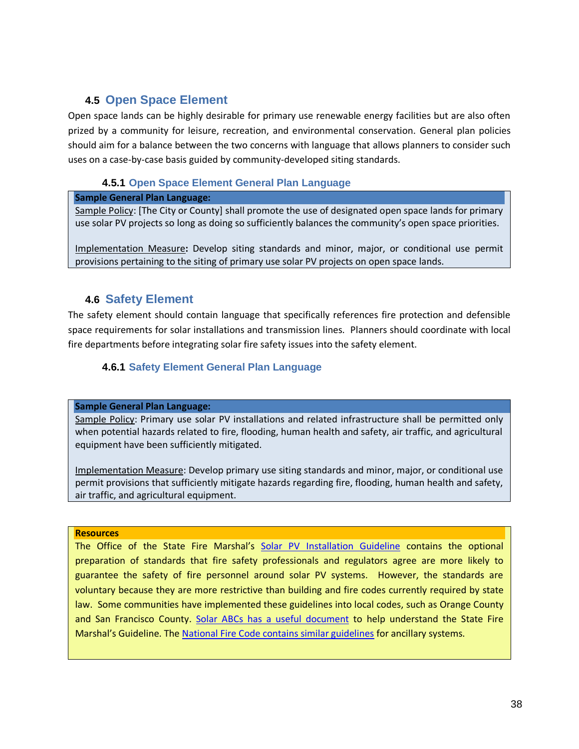# **4.5 Open Space Element**

Open space lands can be highly desirable for primary use renewable energy facilities but are also often prized by a community for leisure, recreation, and environmental conservation. General plan policies should aim for a balance between the two concerns with language that allows planners to consider such uses on a case-by-case basis guided by community-developed siting standards.

# **4.5.1 Open Space Element General Plan Language**

#### **Sample General Plan Language:**

Sample Policy: [The City or County] shall promote the use of designated open space lands for primary use solar PV projects so long as doing so sufficiently balances the community's open space priorities.

Implementation Measure**:** Develop siting standards and minor, major, or conditional use permit provisions pertaining to the siting of primary use solar PV projects on open space lands.

# **4.6 Safety Element**

The safety element should contain language that specifically references fire protection and defensible space requirements for solar installations and transmission lines. Planners should coordinate with local fire departments before integrating solar fire safety issues into the safety element.

# **4.6.1 Safety Element General Plan Language**

#### **Sample General Plan Language:**

Sample Policy: Primary use solar PV installations and related infrastructure shall be permitted only when potential hazards related to fire, flooding, human health and safety, air traffic, and agricultural equipment have been sufficiently mitigated.

Implementation Measure: Develop primary use siting standards and minor, major, or conditional use permit provisions that sufficiently mitigate hazards regarding fire, flooding, human health and safety, air traffic, and agricultural equipment.

#### **Resources**

The Office of the State Fire Marshal's Solar PV [Installation Guideline](http://osfm.fire.ca.gov/pdf/reports/solarphotovoltaicguideline.pdf) contains the optional preparation of standards that fire safety professionals and regulators agree are more likely to guarantee the safety of fire personnel around solar PV systems. However, the standards are voluntary because they are more restrictive than building and fire codes currently required by state law. Some communities have implemented these guidelines into local codes, such as Orange County and San Francisco County. [Solar ABCs has a useful document](http://www.solarabcs.org/about/publications/reports/fireguideline/index.html) to help understand the State Fire Marshal's Guideline. The [National Fire Code contains similar guidelines](http://www.nfpa.org/aboutthecodes/AboutTheCodes.asp?DocNum=1) for ancillary systems.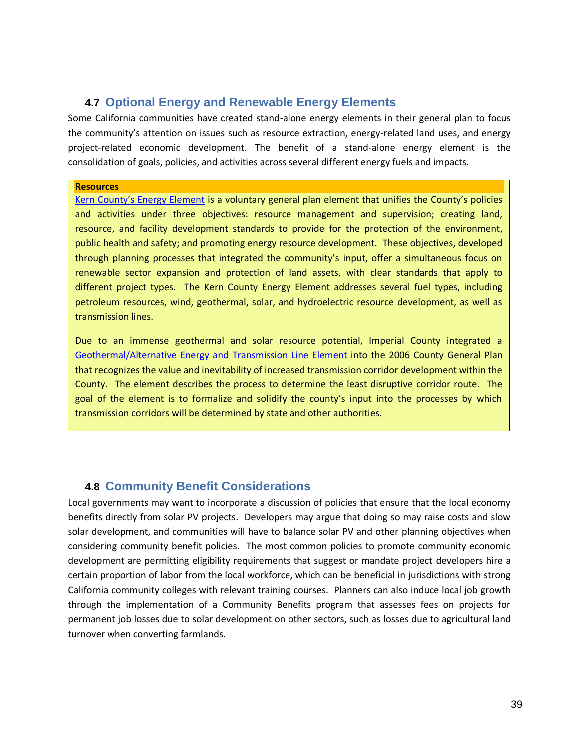# **4.7 Optional Energy and Renewable Energy Elements**

Some California communities have created stand-alone energy elements in their general plan to focus the community's attention on issues such as resource extraction, energy-related land uses, and energy project-related economic development. The benefit of a stand-alone energy element is the consolidation of goals, policies, and activities across several different energy fuels and impacts.

#### **Resources**

[Kern County's Energy Element](http://www.co.kern.ca.us/planning/pdfs/kcgp/KCGPChp5Energy.pdf) is a voluntary general plan element that unifies the County's policies and activities under three objectives: resource management and supervision; creating land, resource, and facility development standards to provide for the protection of the environment, public health and safety; and promoting energy resource development. These objectives, developed through planning processes that integrated the community's input, offer a simultaneous focus on renewable sector expansion and protection of land assets, with clear standards that apply to different project types. The Kern County Energy Element addresses several fuel types, including petroleum resources, wind, geothermal, solar, and hydroelectric resource development, as well as transmission lines.

Due to an immense geothermal and solar resource potential, Imperial County integrated a [Geothermal/Alternative Energy and](http://www.icpds.com/CMS/Media/Geothermal-TransmissionElement-(2006).pdf) Transmission Line Element into the 2006 County General Plan that recognizes the value and inevitability of increased transmission corridor development within the County. The element describes the process to determine the least disruptive corridor route. The goal of the element is to formalize and solidify the county's input into the processes by which transmission corridors will be determined by state and other authorities.

# **4.8 Community Benefit Considerations**

Local governments may want to incorporate a discussion of policies that ensure that the local economy benefits directly from solar PV projects. Developers may argue that doing so may raise costs and slow solar development, and communities will have to balance solar PV and other planning objectives when considering community benefit policies. The most common policies to promote community economic development are permitting eligibility requirements that suggest or mandate project developers hire a certain proportion of labor from the local workforce, which can be beneficial in jurisdictions with strong California community colleges with relevant training courses. Planners can also induce local job growth through the implementation of a Community Benefits program that assesses fees on projects for permanent job losses due to solar development on other sectors, such as losses due to agricultural land turnover when converting farmlands.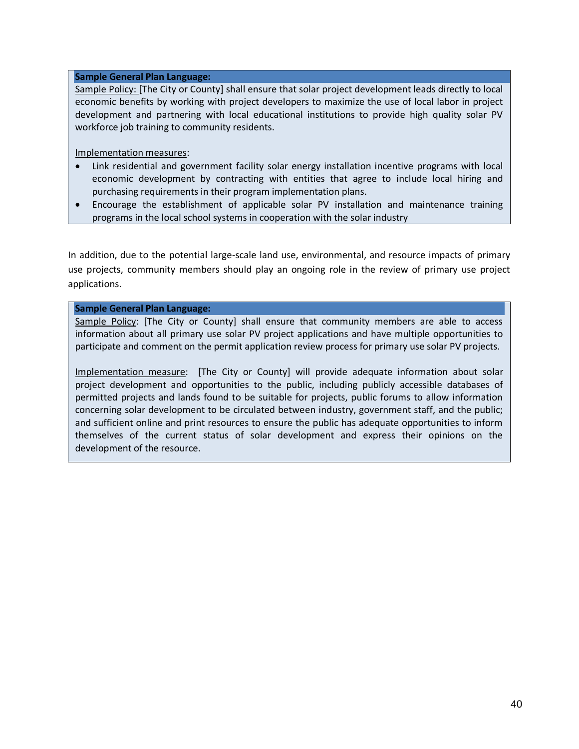#### **Sample General Plan Language:**

Sample Policy: [The City or County] shall ensure that solar project development leads directly to local economic benefits by working with project developers to maximize the use of local labor in project development and partnering with local educational institutions to provide high quality solar PV workforce job training to community residents.

Implementation measures:

- Link residential and government facility solar energy installation incentive programs with local economic development by contracting with entities that agree to include local hiring and purchasing requirements in their program implementation plans.
- Encourage the establishment of applicable solar PV installation and maintenance training programs in the local school systems in cooperation with the solar industry

In addition, due to the potential large-scale land use, environmental, and resource impacts of primary use projects, community members should play an ongoing role in the review of primary use project applications.

#### **Sample General Plan Language:**

Sample Policy: [The City or County] shall ensure that community members are able to access information about all primary use solar PV project applications and have multiple opportunities to participate and comment on the permit application review process for primary use solar PV projects.

Implementation measure: [The City or County] will provide adequate information about solar project development and opportunities to the public, including publicly accessible databases of permitted projects and lands found to be suitable for projects, public forums to allow information concerning solar development to be circulated between industry, government staff, and the public; and sufficient online and print resources to ensure the public has adequate opportunities to inform themselves of the current status of solar development and express their opinions on the development of the resource.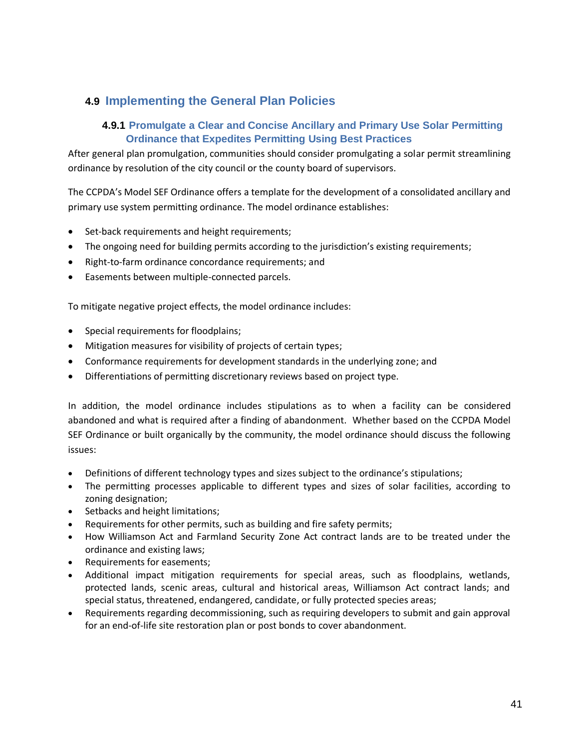# <span id="page-40-0"></span>**4.9 Implementing the General Plan Policies**

# **4.9.1 Promulgate a Clear and Concise Ancillary and Primary Use Solar Permitting Ordinance that Expedites Permitting Using Best Practices**

After general plan promulgation, communities should consider promulgating a solar permit streamlining ordinance by resolution of the city council or the county board of supervisors.

The CCPDA's Model SEF Ordinance offers a template for the development of a consolidated ancillary and primary use system permitting ordinance. The model ordinance establishes:

- Set-back requirements and height requirements;
- The ongoing need for building permits according to the jurisdiction's existing requirements;
- Right-to-farm ordinance concordance requirements; and
- Easements between multiple-connected parcels.

To mitigate negative project effects, the model ordinance includes:

- Special requirements for floodplains;
- Mitigation measures for visibility of projects of certain types;
- Conformance requirements for development standards in the underlying zone; and
- Differentiations of permitting discretionary reviews based on project type.

In addition, the model ordinance includes stipulations as to when a facility can be considered abandoned and what is required after a finding of abandonment. Whether based on the CCPDA Model SEF Ordinance or built organically by the community, the model ordinance should discuss the following issues:

- Definitions of different technology types and sizes subject to the ordinance's stipulations;
- The permitting processes applicable to different types and sizes of solar facilities, according to zoning designation;
- Setbacks and height limitations;
- Requirements for other permits, such as building and fire safety permits;
- How Williamson Act and Farmland Security Zone Act contract lands are to be treated under the ordinance and existing laws;
- Requirements for easements;
- Additional impact mitigation requirements for special areas, such as floodplains, wetlands, protected lands, scenic areas, cultural and historical areas, Williamson Act contract lands; and special status, threatened, endangered, candidate, or fully protected species areas;
- Requirements regarding decommissioning, such as requiring developers to submit and gain approval for an end-of-life site restoration plan or post bonds to cover abandonment.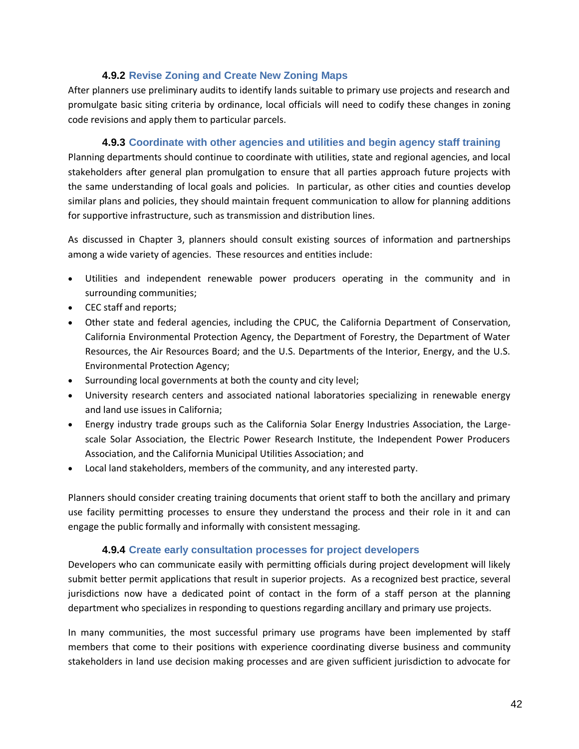### **4.9.2 Revise Zoning and Create New Zoning Maps**

After planners use preliminary audits to identify lands suitable to primary use projects and research and promulgate basic siting criteria by ordinance, local officials will need to codify these changes in zoning code revisions and apply them to particular parcels.

#### **4.9.3 Coordinate with other agencies and utilities and begin agency staff training**

Planning departments should continue to coordinate with utilities, state and regional agencies, and local stakeholders after general plan promulgation to ensure that all parties approach future projects with the same understanding of local goals and policies. In particular, as other cities and counties develop similar plans and policies, they should maintain frequent communication to allow for planning additions for supportive infrastructure, such as transmission and distribution lines.

As discussed in Chapter [3,](#page-13-0) planners should consult existing sources of information and partnerships among a wide variety of agencies. These resources and entities include:

- Utilities and independent renewable power producers operating in the community and in surrounding communities;
- CEC staff and reports;
- Other state and federal agencies, including the CPUC, the California Department of Conservation, California Environmental Protection Agency, the Department of Forestry, the Department of Water Resources, the Air Resources Board; and the U.S. Departments of the Interior, Energy, and the U.S. Environmental Protection Agency;
- Surrounding local governments at both the county and city level;
- University research centers and associated national laboratories specializing in renewable energy and land use issues in California;
- Energy industry trade groups such as the California Solar Energy Industries Association, the Largescale Solar Association, the Electric Power Research Institute, the Independent Power Producers Association, and the California Municipal Utilities Association; and
- Local land stakeholders, members of the community, and any interested party.

Planners should consider creating training documents that orient staff to both the ancillary and primary use facility permitting processes to ensure they understand the process and their role in it and can engage the public formally and informally with consistent messaging.

### **4.9.4 Create early consultation processes for project developers**

Developers who can communicate easily with permitting officials during project development will likely submit better permit applications that result in superior projects. As a recognized best practice, several jurisdictions now have a dedicated point of contact in the form of a staff person at the planning department who specializes in responding to questions regarding ancillary and primary use projects.

In many communities, the most successful primary use programs have been implemented by staff members that come to their positions with experience coordinating diverse business and community stakeholders in land use decision making processes and are given sufficient jurisdiction to advocate for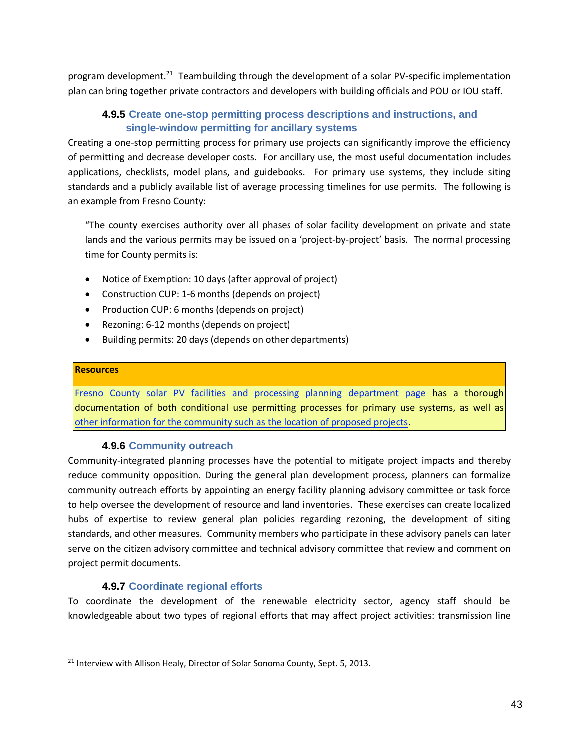program development.<sup>21</sup> Teambuilding through the development of a solar PV-specific implementation plan can bring together private contractors and developers with building officials and POU or IOU staff.

# **4.9.5 Create one-stop permitting process descriptions and instructions, and single-window permitting for ancillary systems**

Creating a one-stop permitting process for primary use projects can significantly improve the efficiency of permitting and decrease developer costs. For ancillary use, the most useful documentation includes applications, checklists, model plans, and guidebooks. For primary use systems, they include siting standards and a publicly available list of average processing timelines for use permits. The following is an example from Fresno County:

"The county exercises authority over all phases of solar facility development on private and state lands and the various permits may be issued on a 'project-by-project' basis. The normal processing time for County permits is:

- Notice of Exemption: 10 days (after approval of project)
- Construction CUP: 1-6 months (depends on project)
- Production CUP: 6 months (depends on project)
- Rezoning: 6-12 months (depends on project)
- Building permits: 20 days (depends on other departments)

#### **Resources**

Fresno County solar [PV facilities and processing planning department page](http://www.co.fresno.ca.us/ViewDocument.aspx?id=53401) has a thorough documentation of both conditional use permitting processes for primary use systems, as well as [other information for the community such as the location of proposed projects.](http://www.co.fresno.ca.us/DepartmentPage.aspx?id=6030)

### **4.9.6 Community outreach**

Community-integrated planning processes have the potential to mitigate project impacts and thereby reduce community opposition. During the general plan development process, planners can formalize community outreach efforts by appointing an energy facility planning advisory committee or task force to help oversee the development of resource and land inventories. These exercises can create localized hubs of expertise to review general plan policies regarding rezoning, the development of siting standards, and other measures. Community members who participate in these advisory panels can later serve on the citizen advisory committee and technical advisory committee that review and comment on project permit documents.

### **4.9.7 Coordinate regional efforts**

To coordinate the development of the renewable electricity sector, agency staff should be knowledgeable about two types of regional efforts that may affect project activities: transmission line

 $\overline{a}$ <sup>21</sup> Interview with Allison Healy, Director of Solar Sonoma County, Sept. 5, 2013.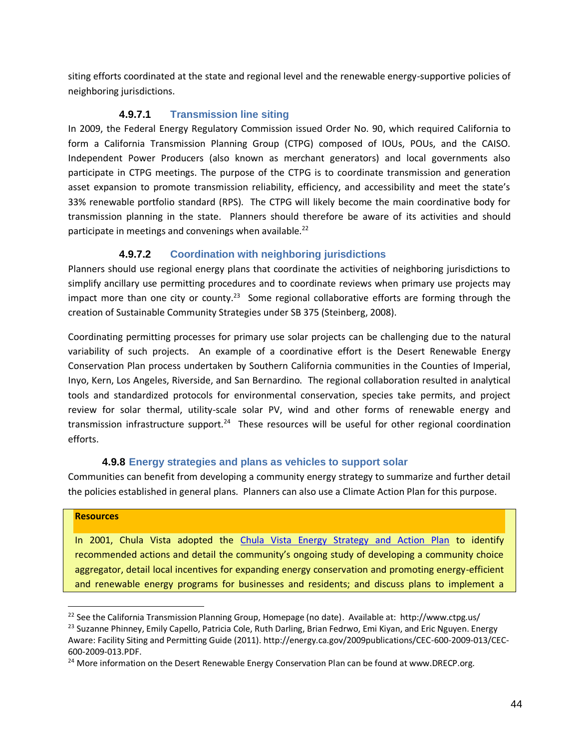siting efforts coordinated at the state and regional level and the renewable energy-supportive policies of neighboring jurisdictions.

### **4.9.7.1 Transmission line siting**

In 2009, the Federal Energy Regulatory Commission issued Order No. 90, which required California to form a California Transmission Planning Group (CTPG) composed of IOUs, POUs, and the CAISO. Independent Power Producers (also known as merchant generators) and local governments also participate in CTPG meetings. The purpose of the CTPG is to coordinate transmission and generation asset expansion to promote transmission reliability, efficiency, and accessibility and meet the state's 33% renewable portfolio standard (RPS). The CTPG will likely become the main coordinative body for transmission planning in the state. Planners should therefore be aware of its activities and should participate in meetings and convenings when available.<sup>22</sup>

### **4.9.7.2 Coordination with neighboring jurisdictions**

Planners should use regional energy plans that coordinate the activities of neighboring jurisdictions to simplify ancillary use permitting procedures and to coordinate reviews when primary use projects may impact more than one city or county.<sup>23</sup> Some regional collaborative efforts are forming through the creation of Sustainable Community Strategies under SB 375 (Steinberg, 2008).

Coordinating permitting processes for primary use solar projects can be challenging due to the natural variability of such projects. An example of a coordinative effort is the Desert Renewable Energy Conservation Plan process undertaken by Southern California communities in the Counties of Imperial, Inyo, Kern, Los Angeles, Riverside, and San Bernardino. The regional collaboration resulted in analytical tools and standardized protocols for environmental conservation, species take permits, and project review for solar thermal, utility-scale solar PV, wind and other forms of renewable energy and transmission infrastructure support.<sup>24</sup> These resources will be useful for other regional coordination efforts.

### **4.9.8 Energy strategies and plans as vehicles to support solar**

Communities can benefit from developing a community energy strategy to summarize and further detail the policies established in general plans. Planners can also use a Climate Action Plan for this purpose.

#### **Resources**

In 2001, Chula Vista adopted the [Chula Vista Energy Strategy and Action Plan](http://www.chulavistaca.gov/clean/conservation/climate/documents/CityEnergyStrategyResolution2001-162.pdf) to identify recommended actions and detail the community's ongoing study of developing a community choice aggregator, detail local incentives for expanding energy conservation and promoting energy-efficient and renewable energy programs for businesses and residents; and discuss plans to implement a

<sup>&</sup>lt;sup>22</sup> See the California Transmission Planning Group, Homepage (no date). Available at: http://www.ctpg.us/ <sup>23</sup> Suzanne Phinney, Emily Capello, Patricia Cole, Ruth Darling, Brian Fedrwo, Emi Kiyan, and Eric Nguyen. Energy Aware: Facility Siting and Permitting Guide (2011). http://energy.ca.gov/2009publications/CEC-600-2009-013/CEC-

<sup>600-2009-013.</sup>PDF.

 $24$  More information on the Desert Renewable Energy Conservation Plan can be found at www.DRECP.org.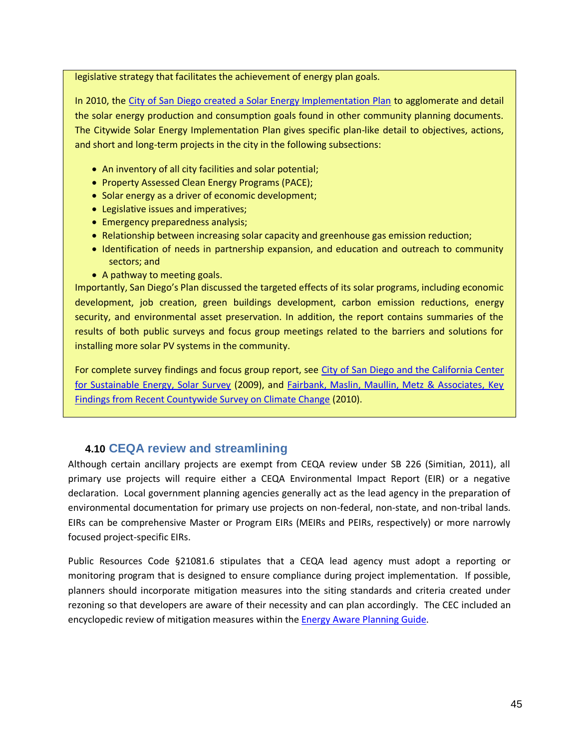legislative strategy that facilitates the achievement of energy plan goals.

In 2010, the [City of San Diego created a Solar Energy Implementation Plan](http://www.sandiego.gov/environmental-services/pdf/sustainable/SolarImplementationPlan-May2010.pdf) to agglomerate and detail the solar energy production and consumption goals found in other community planning documents. The Citywide Solar Energy Implementation Plan gives specific plan-like detail to objectives, actions, and short and long-term projects in the city in the following subsections:

- An inventory of all city facilities and solar potential;
- Property Assessed Clean Energy Programs (PACE);
- Solar energy as a driver of economic development;
- Legislative issues and imperatives;
- Emergency preparedness analysis;
- Relationship between increasing solar capacity and greenhouse gas emission reduction;
- Identification of needs in partnership expansion, and education and outreach to community sectors; and
- A pathway to meeting goals.

Importantly, San Diego's Plan discussed the targeted effects of its solar programs, including economic development, job creation, green buildings development, carbon emission reductions, energy security, and environmental asset preservation. In addition, the report contains summaries of the results of both public surveys and focus group meetings related to the barriers and solutions for installing more solar PV systems in the community.

For complete survey findings and focus group report, see [City of San Diego and the California Center](http://www.sandiego.gov/environmental-services/pdf/sustainable/090925SOLARCITYSURVEYREPORT.pdf)  [for Sustainable Energy, Solar Survey](http://www.sandiego.gov/environmental-services/pdf/sustainable/090925SOLARCITYSURVEYREPORT.pdf) (2009), and Fairbank, Maslin, Maullin, Metz & Associates, Key [Findings from Recent Countywide Survey on Climate Change](http://www.sandiego.gov/environmental-services/pdf/sustainable/100814key.pdf) (2010).

# **4.10 CEQA review and streamlining**

Although certain ancillary projects are exempt from CEQA review under SB 226 (Simitian, 2011), all primary use projects will require either a CEQA Environmental Impact Report (EIR) or a negative declaration. Local government planning agencies generally act as the lead agency in the preparation of environmental documentation for primary use projects on non-federal, non-state, and non-tribal lands. EIRs can be comprehensive Master or Program EIRs (MEIRs and PEIRs, respectively) or more narrowly focused project-specific EIRs.

Public Resources Code §21081.6 stipulates that a CEQA lead agency must adopt a reporting or monitoring program that is designed to ensure compliance during project implementation. If possible, planners should incorporate mitigation measures into the siting standards and criteria created under rezoning so that developers are aware of their necessity and can plan accordingly. The CEC included an encyclopedic review of mitigation measures within the [Energy Aware Planning Guide.](http://energy.ca.gov/2009publications/CEC-600-2009-013/CEC-600-2009-013.PDF)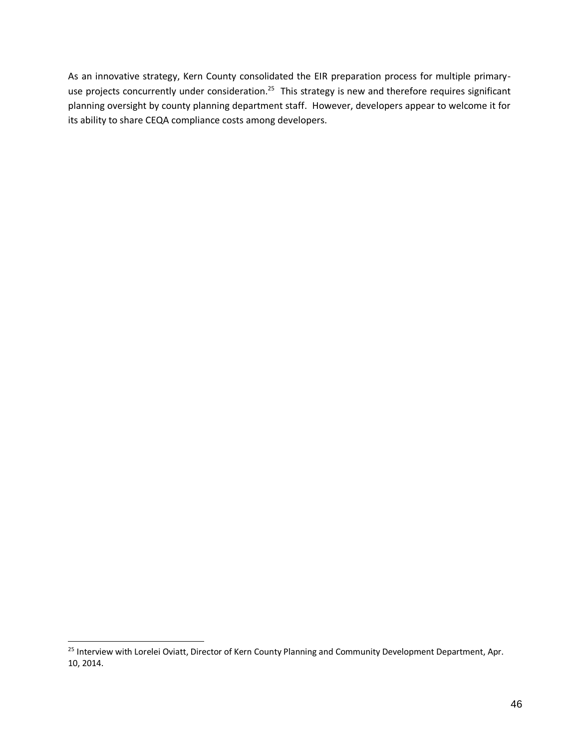As an innovative strategy, Kern County consolidated the EIR preparation process for multiple primaryuse projects concurrently under consideration.<sup>25</sup> This strategy is new and therefore requires significant planning oversight by county planning department staff. However, developers appear to welcome it for its ability to share CEQA compliance costs among developers.

<sup>&</sup>lt;sup>25</sup> Interview with Lorelei Oviatt, Director of Kern County Planning and Community Development Department, Apr. 10, 2014.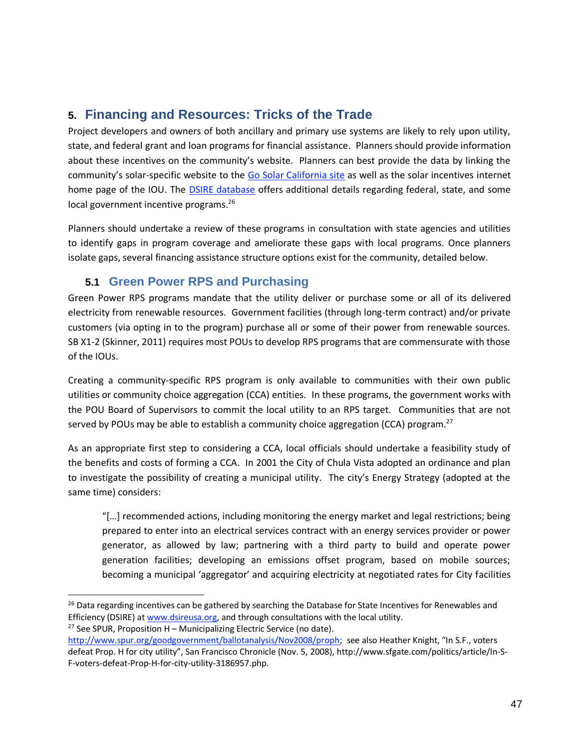# **5. Financing and Resources: Tricks of the Trade**

Project developers and owners of both ancillary and primary use systems are likely to rely upon utility, state, and federal grant and loan programs for financial assistance. Planners should provide information about these incentives on the community's website. Planners can best provide the data by linking the community's solar-specific website to the Go Solar California site as well as the solar incentives internet home page of the IOU. The [DSIRE database](http://www.dsireusa.org/) offers additional details regarding federal, state, and some local government incentive programs.<sup>26</sup>

Planners should undertake a review of these programs in consultation with state agencies and utilities to identify gaps in program coverage and ameliorate these gaps with local programs. Once planners isolate gaps, several financing assistance structure options exist for the community, detailed below.

# <span id="page-46-0"></span>**5.1 Green Power RPS and Purchasing**

Green Power RPS programs mandate that the utility deliver or purchase some or all of its delivered electricity from renewable resources. Government facilities (through long-term contract) and/or private customers (via opting in to the program) purchase all or some of their power from renewable sources. SB X1-2 (Skinner, 2011) requires most POUs to develop RPS programs that are commensurate with those of the IOUs.

Creating a community-specific RPS program is only available to communities with their own public utilities or community choice aggregation (CCA) entities. In these programs, the government works with the POU Board of Supervisors to commit the local utility to an RPS target. Communities that are not served by POUs may be able to establish a community choice aggregation (CCA) program.<sup>27</sup>

As an appropriate first step to considering a CCA, local officials should undertake a feasibility study of the benefits and costs of forming a CCA. In 2001 the City of Chula Vista adopted an ordinance and plan to investigate the possibility of creating a municipal utility. The city's Energy Strategy (adopted at the same time) considers:

"[…] recommended actions, including monitoring the energy market and legal restrictions; being prepared to enter into an electrical services contract with an energy services provider or power generator, as allowed by law; partnering with a third party to build and operate power generation facilities; developing an emissions offset program, based on mobile sources; becoming a municipal 'aggregator' and acquiring electricity at negotiated rates for City facilities

```
<sup>27</sup> See SPUR, Proposition H – Municipalizing Electric Service (no date).
```
<sup>&</sup>lt;sup>26</sup> Data regarding incentives can be gathered by searching the Database for State Incentives for Renewables and Efficiency (DSIRE) a[t www.dsireusa.org,](http://www.dsireusa.org/) and through consultations with the local utility.

<http://www.spur.org/goodgovernment/ballotanalysis/Nov2008/proph>; see also Heather Knight, "In S.F., voters defeat Prop. H for city utility", San Francisco Chronicle (Nov. 5, 2008), http://www.sfgate.com/politics/article/In-S-F-voters-defeat-Prop-H-for-city-utility-3186957.php.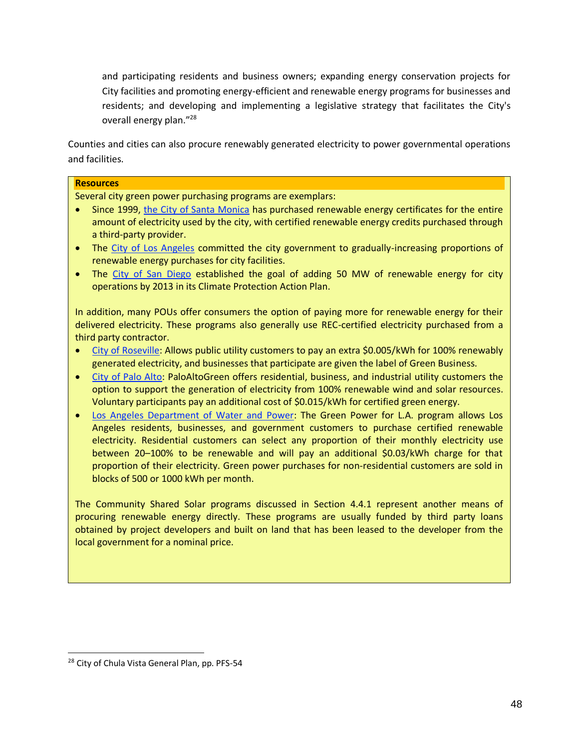and participating residents and business owners; expanding energy conservation projects for City facilities and promoting energy-efficient and renewable energy programs for businesses and residents; and developing and implementing a legislative strategy that facilitates the City's overall energy plan."<sup>28</sup>

Counties and cities can also procure renewably generated electricity to power governmental operations and facilities.

# **Resources**

Several city green power purchasing programs are exemplars:

- Since 1999, [the City of Santa Monica](http://www.dsireusa.org/incentives/incentive.cfm?Incentive_Code=CA13R&re=1&ee=0) has purchased renewable energy certificates for the entire amount of electricity used by the city, with certified renewable energy credits purchased through a third-party provider.
- The [City of Los Angeles](http://en.openei.org/wiki/City_of_Los_Angeles_-_Green_Power_Purchasing_(California)) committed the city government to gradually-increasing proportions of renewable energy purchases for city facilities.
- The [City of San Diego](http://www.sandiego.gov/environmental-services/pdf/sustainable/action_plan_07_05.pdf) established the goal of adding 50 MW of renewable energy for city operations by 2013 in its Climate Protection Action Plan.

In addition, many POUs offer consumers the option of paying more for renewable energy for their delivered electricity. These programs also generally use REC-certified electricity purchased from a third party contractor.

- [City of Roseville:](http://www.roseville.ca.us/electric/green_roseville/) Allows public utility customers to pay an extra \$0.005/kWh for 100% renewably generated electricity, and businesses that participate are given the label of Green Business.
- [City of Palo Alto:](http://www.cpau.com/programs/green/app.html) PaloAltoGreen offers residential, business, and industrial utility customers the option to support the generation of electricity from 100% renewable wind and solar resources. Voluntary participants pay an additional cost of \$0.015/kWh for certified green energy.
- Los Angeles Department of Water and Power: The Green Power for L.A. program allows Los Angeles residents, businesses, and government customers to purchase certified renewable electricity. Residential customers can select any proportion of their monthly electricity use between 20–100% to be renewable and will pay an additional \$0.03/kWh charge for that proportion of their electricity. Green power purchases for non-residential customers are sold in blocks of 500 or 1000 kWh per month.

The Community Shared Solar programs discussed in Section [4.4.1](#page-28-0) represent another means of procuring renewable energy directly. These programs are usually funded by third party loans obtained by project developers and built on land that has been leased to the developer from the local government for a nominal price.

 $\overline{a}$ 

<sup>&</sup>lt;sup>28</sup> City of Chula Vista General Plan, pp. PFS-54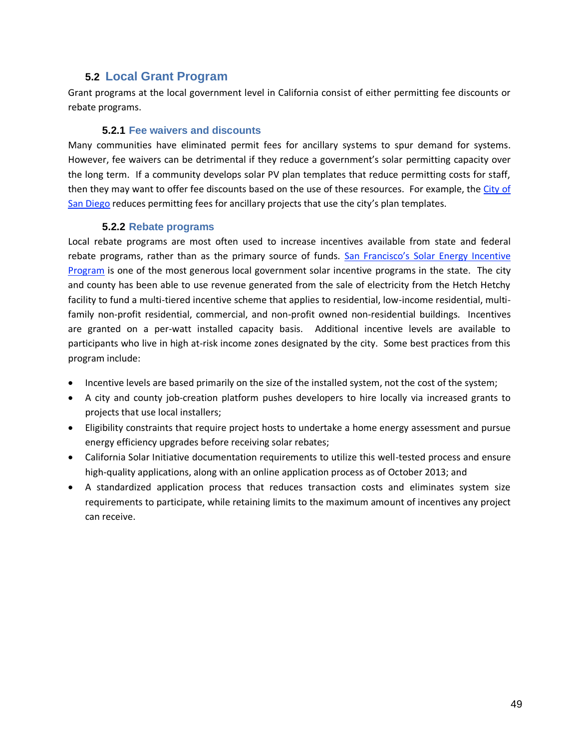# **5.2 Local Grant Program**

Grant programs at the local government level in California consist of either permitting fee discounts or rebate programs.

### **5.2.1 Fee waivers and discounts**

Many communities have eliminated permit fees for ancillary systems to spur demand for systems. However, fee waivers can be detrimental if they reduce a government's solar permitting capacity over the long term. If a community develops solar PV plan templates that reduce permitting costs for staff, then they may want to offer fee discounts based on the use of these resources. For example, the City of [San Diego](http://www.sandiego.gov/development-services/homeownr/residentialsolar/index.shtml) reduces permitting fees for ancillary projects that use the city's plan templates.

### **5.2.2 Rebate programs**

Local rebate programs are most often used to increase incentives available from state and federal rebate programs, rather than as the primary source of funds. [San Francisco's Solar Energy Incentive](http://sfwater.org/index.aspx?page=133)  [Program](http://sfwater.org/index.aspx?page=133) is one of the most generous local government solar incentive programs in the state. The city and county has been able to use revenue generated from the sale of electricity from the Hetch Hetchy facility to fund a multi-tiered incentive scheme that applies to residential, low-income residential, multifamily non-profit residential, commercial, and non-profit owned non-residential buildings. Incentives are granted on a per-watt installed capacity basis. Additional incentive levels are available to participants who live in high at-risk income zones designated by the city. Some best practices from this program include:

- Incentive levels are based primarily on the size of the installed system, not the cost of the system;
- A city and county job-creation platform pushes developers to hire locally via increased grants to projects that use local installers;
- Eligibility constraints that require project hosts to undertake a home energy assessment and pursue energy efficiency upgrades before receiving solar rebates;
- California Solar Initiative documentation requirements to utilize this well-tested process and ensure high-quality applications, along with an online application process as of October 2013; and
- A standardized application process that reduces transaction costs and eliminates system size requirements to participate, while retaining limits to the maximum amount of incentives any project can receive.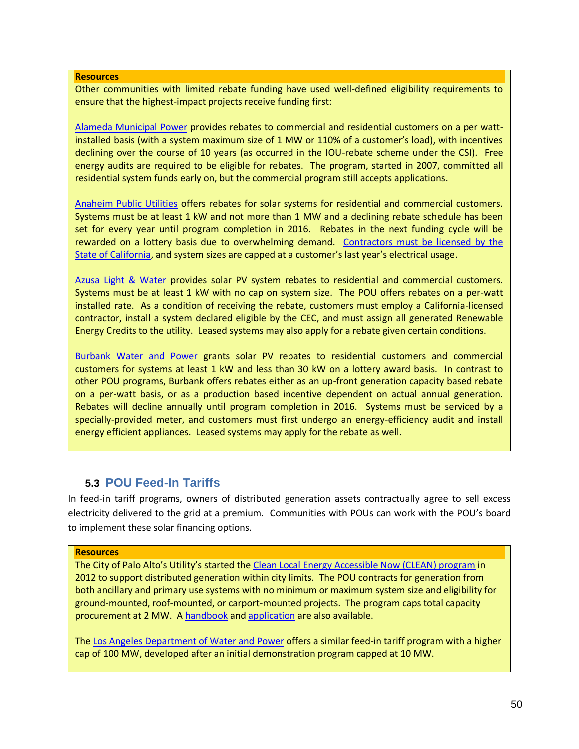#### **Resources**

Other communities with limited rebate funding have used well-defined eligibility requirements to ensure that the highest-impact projects receive funding first:

[Alameda Municipal Power](http://www.alamedamp.com/for-your-home/solar-installations-home) provides rebates to commercial and residential customers on a per wattinstalled basis (with a system maximum size of 1 MW or 110% of a customer's load), with incentives declining over the course of 10 years (as occurred in the IOU-rebate scheme under the CSI). Free energy audits are required to be eligible for rebates. The program, started in 2007, committed all residential system funds early on, but the commercial program still accepts applications.

[Anaheim Public Utilities](http://www.alamedamp.com/business/solar-rebates-business) offers rebates for solar systems for residential and commercial customers. Systems must be at least 1 kW and not more than 1 MW and a declining rebate schedule has been set for every year until program completion in 2016. Rebates in the next funding cycle will be rewarded on a lottery basis due to overwhelming demand. [Contractors must be licensed by the](http://www.anaheim.net/utilities/adv_svc_prog/pv/CommHndbk.pdf)  [State of California,](http://www.anaheim.net/utilities/adv_svc_prog/pv/CommHndbk.pdf) and system sizes are capped at a customer's last year's electrical usage.

[Azusa Light & Water](http://www.ci.azusa.ca.us/index.aspx?nid=565) provides solar PV system rebates to residential and commercial customers. Systems must be at least 1 kW with no cap on system size. The POU offers rebates on a per-watt installed rate. As a condition of receiving the rebate, customers must employ a California-licensed contractor, install a system declared eligible by the CEC, and must assign all generated Renewable Energy Credits to the utility. Leased systems may also apply for a rebate given certain conditions.

[Burbank Water and Power](http://www.burbankwaterandpower.com/incentives-for-all-customers/solar-photovoltaic-power) grants solar PV rebates to residential customers and commercial customers for systems at least 1 kW and less than 30 kW on a lottery award basis. In contrast to other POU programs, Burbank offers rebates either as an up-front generation capacity based rebate on a per-watt basis, or as a production based incentive dependent on actual annual generation. Rebates will decline annually until program completion in 2016. Systems must be serviced by a specially-provided meter, and customers must first undergo an energy-efficiency audit and install energy efficient appliances. Leased systems may apply for the rebate as well.

# **5.3 POU Feed-In Tariffs**

In feed-in tariff programs, owners of distributed generation assets contractually agree to sell excess electricity delivered to the grid at a premium. Communities with POUs can work with the POU's board to implement these solar financing options.

#### **Resources**

The City of Palo Alto's Utility's started the [Clean Local Energy Accessible Now \(CLEAN\) program](http://www.cityofpaloalto.org/gov/depts/utl/business/sustainability/clean.asp) in 2012 to support distributed generation within city limits. The POU contracts for generation from both ancillary and primary use systems with no minimum or maximum system size and eligibility for ground-mounted, roof-mounted, or carport-mounted projects. The program caps total capacity procurement at 2 MW. A [handbook](http://www.cityofpaloalto.org/civicax/filebank/documents/2893) and [application](http://www.cityofpaloalto.org/civicax/filebank/documents/28748) are also available.

Th[e Los Angeles Department of Water and Power](https://www.ladwp.com/fit) offers a similar feed-in tariff program with a higher cap of 100 MW, developed after an initial demonstration program capped at 10 MW.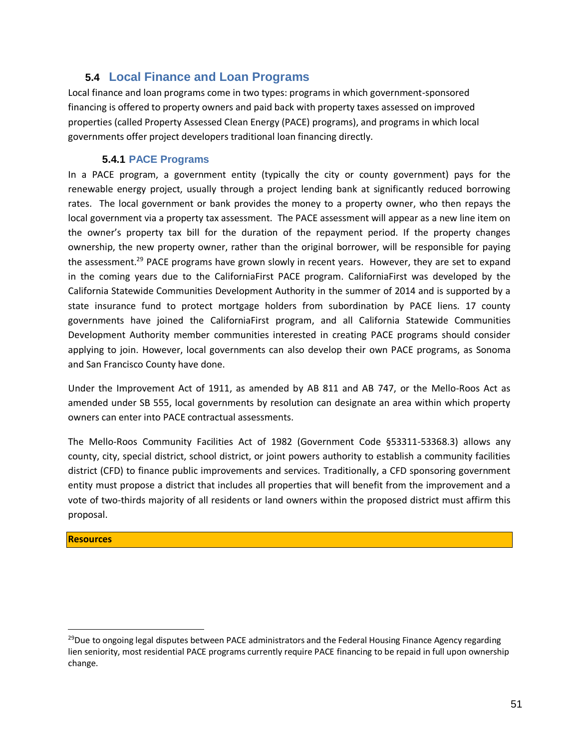# **5.4 Local Finance and Loan Programs**

Local finance and loan programs come in two types: programs in which government-sponsored financing is offered to property owners and paid back with property taxes assessed on improved properties (called Property Assessed Clean Energy (PACE) programs), and programs in which local governments offer project developers traditional loan financing directly.

## **5.4.1 PACE Programs**

In a PACE program, a government entity (typically the city or county government) pays for the renewable energy project, usually through a project lending bank at significantly reduced borrowing rates. The local government or bank provides the money to a property owner, who then repays the local government via a property tax assessment. The PACE assessment will appear as a new line item on the owner's property tax bill for the duration of the repayment period. If the property changes ownership, the new property owner, rather than the original borrower, will be responsible for paying the assessment.<sup>29</sup> PACE programs have grown slowly in recent years. However, they are set to expand in the coming years due to the CaliforniaFirst PACE program. CaliforniaFirst was developed by the California Statewide Communities Development Authority in the summer of 2014 and is supported by a state insurance fund to protect mortgage holders from subordination by PACE liens. 17 county governments have joined the CaliforniaFirst program, and all California Statewide Communities Development Authority member communities interested in creating PACE programs should consider applying to join. However, local governments can also develop their own PACE programs, as Sonoma and San Francisco County have done.

Under the Improvement Act of 1911, as amended by AB 811 and AB 747, or the Mello-Roos Act as amended under SB 555, local governments by resolution can designate an area within which property owners can enter into PACE contractual assessments.

The Mello-Roos Community Facilities Act of 1982 (Government Code §53311-53368.3) allows any county, city, special district, school district, or joint powers authority to establish a community facilities district (CFD) to finance public improvements and services. Traditionally, a CFD sponsoring government entity must propose a district that includes all properties that will benefit from the improvement and a vote of two-thirds majority of all residents or land owners within the proposed district must affirm this proposal.

#### **Resources**

<sup>&</sup>lt;sup>29</sup>Due to ongoing legal disputes between PACE administrators and the Federal Housing Finance Agency regarding lien seniority, most residential PACE programs currently require PACE financing to be repaid in full upon ownership change.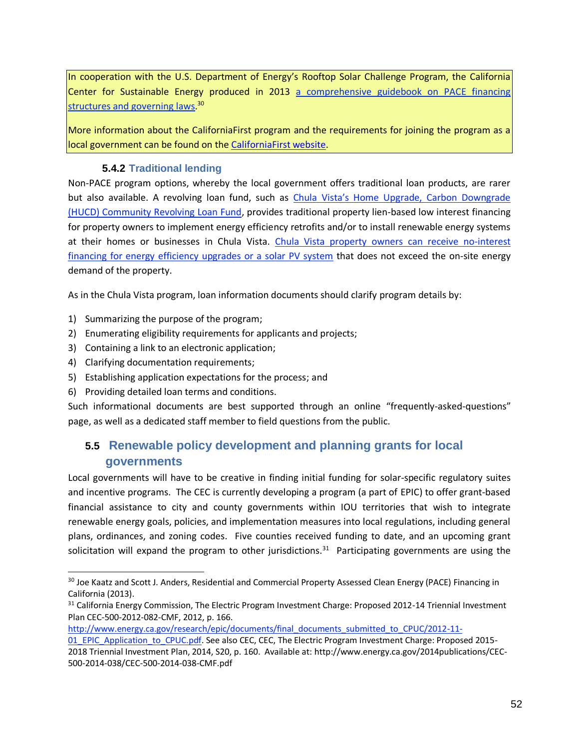In cooperation with the U.S. Department of Energy's Rooftop Solar Challenge Program, the California Center for Sustainable Energy produced in 2013 [a comprehensive guidebook on PACE financing](http://energycenter.org/sites/default/files/docs/nav/policy/research-and-reports/PACE%20in%20California.pdf)  [structures and governing laws.](http://energycenter.org/sites/default/files/docs/nav/policy/research-and-reports/PACE%20in%20California.pdf)<sup>30</sup>

More information about the CaliforniaFirst program and the requirements for joining the program as a local government can be found on the [CaliforniaFirst website.](https://californiafirst.org/)

## **5.4.2 Traditional lending**

Non-PACE program options, whereby the local government offers traditional loan products, are rarer but also available. A revolving loan fund, such as *Chula Vista's Home Upgrade*, Carbon Downgrade [\(HUCD\) Community Revolving Loan Fund,](http://www.chulavistaca.gov/clean/conservation/climate/HUCD.asp) provides traditional property lien-based low interest financing for property owners to implement energy efficiency retrofits and/or to install renewable energy systems at their homes or businesses in Chula Vista. [Chula Vista property owners can receive no-interest](http://www.chulavistaca.gov/clean/PDF/CVRLF_ProgramPlanFINAL.pdf)  [financing for energy efficiency upgrades or a solar PV system](http://www.chulavistaca.gov/clean/PDF/CVRLF_ProgramPlanFINAL.pdf) that does not exceed the on-site energy demand of the property.

As in the Chula Vista program, loan information documents should clarify program details by:

- 1) Summarizing the purpose of the program;
- 2) Enumerating eligibility requirements for applicants and projects;
- 3) Containing a link to an electronic application;
- 4) Clarifying documentation requirements;

 $\overline{a}$ 

- 5) Establishing application expectations for the process; and
- 6) Providing detailed loan terms and conditions.

Such informational documents are best supported through an online "frequently-asked-questions" page, as well as a dedicated staff member to field questions from the public.

# **5.5 Renewable policy development and planning grants for local governments**

Local governments will have to be creative in finding initial funding for solar-specific regulatory suites and incentive programs. The CEC is currently developing a program (a part of EPIC) to offer grant-based financial assistance to city and county governments within IOU territories that wish to integrate renewable energy goals, policies, and implementation measures into local regulations, including general plans, ordinances, and zoning codes. Five counties received funding to date, and an upcoming grant solicitation will expand the program to other jurisdictions.<sup>31</sup> Participating governments are using the

[http://www.energy.ca.gov/research/epic/documents/final\\_documents\\_submitted\\_to\\_CPUC/2012-11-](http://www.energy.ca.gov/research/epic/documents/final_documents_submitted_to_CPUC/2012-11-01_EPIC_Application_to_CPUC.pdf)

<sup>&</sup>lt;sup>30</sup> Joe Kaatz and Scott J. Anders, Residential and Commercial Property Assessed Clean Energy (PACE) Financing in California (2013).

<sup>&</sup>lt;sup>31</sup> California Energy Commission, The Electric Program Investment Charge: Proposed 2012-14 Triennial Investment Plan CEC-500-2012-082-CMF, 2012, p. 166.

[<sup>01</sup>\\_EPIC\\_Application\\_to\\_CPUC.pdf.](http://www.energy.ca.gov/research/epic/documents/final_documents_submitted_to_CPUC/2012-11-01_EPIC_Application_to_CPUC.pdf) See also CEC, CEC, The Electric Program Investment Charge: Proposed 2015-2018 Triennial Investment Plan, 2014, S20, p. 160. Available at: http://www.energy.ca.gov/2014publications/CEC-500-2014-038/CEC-500-2014-038-CMF.pdf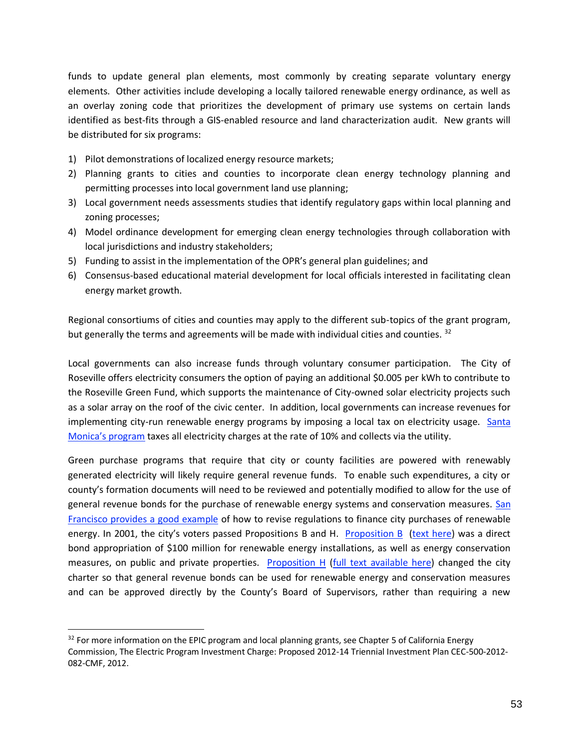funds to update general plan elements, most commonly by creating separate voluntary energy elements. Other activities include developing a locally tailored renewable energy ordinance, as well as an overlay zoning code that prioritizes the development of primary use systems on certain lands identified as best-fits through a GIS-enabled resource and land characterization audit. New grants will be distributed for six programs:

- 1) Pilot demonstrations of localized energy resource markets;
- 2) Planning grants to cities and counties to incorporate clean energy technology planning and permitting processes into local government land use planning;
- 3) Local government needs assessments studies that identify regulatory gaps within local planning and zoning processes;
- 4) Model ordinance development for emerging clean energy technologies through collaboration with local jurisdictions and industry stakeholders;
- 5) Funding to assist in the implementation of the OPR's general plan guidelines; and
- 6) Consensus-based educational material development for local officials interested in facilitating clean energy market growth.

Regional consortiums of cities and counties may apply to the different sub-topics of the grant program, but generally the terms and agreements will be made with individual cities and counties.  $32$ 

Local governments can also increase funds through voluntary consumer participation. The City of Roseville offers electricity consumers the option of paying an additional \$0.005 per kWh to contribute to the Roseville Green Fund, which supports the maintenance of City-owned solar electricity projects such as a solar array on the roof of the civic center. In addition, local governments can increase revenues for implementing city-run renewable energy programs by imposing a local tax on electricity usage. Santa [Monica's program](http://qcode.us/codes/santamonica/view.php?topic=6-6_72-6_72_030&frames=on) taxes all electricity charges at the rate of 10% and collects via the utility.

Green purchase programs that require that city or county facilities are powered with renewably generated electricity will likely require general revenue funds. To enable such expenditures, a city or county's formation documents will need to be reviewed and potentially modified to allow for the use of general revenue bonds for the purchase of renewable energy systems and conservation measures. San Francisco provides a good example of how to revise regulations to finance city purchases of renewable energy. In 2001, the city's voters passed Propositions B and H. [Proposition B](http://www.spur.org/goodgovernment/ballotanalysis/Nov2001/propb) [\(text here\)](http://www.ilsr.org/rule/solar-energy/2554-2/) was a direct bond appropriation of \$100 million for renewable energy installations, as well as energy conservation measures, on public and private properties. [Proposition H](http://www.spur.org/goodgovernment/ballotanalysis/Nov2001/proph) [\(full text available here\)](http://www.local.org/hbondlnk.html) changed the city charter so that general revenue bonds can be used for renewable energy and conservation measures and can be approved directly by the County's Board of Supervisors, rather than requiring a new

<sup>&</sup>lt;sup>32</sup> For more information on the EPIC program and local planning grants, see Chapter 5 of California Energy Commission, The Electric Program Investment Charge: Proposed 2012-14 Triennial Investment Plan CEC-500-2012- 082-CMF, 2012.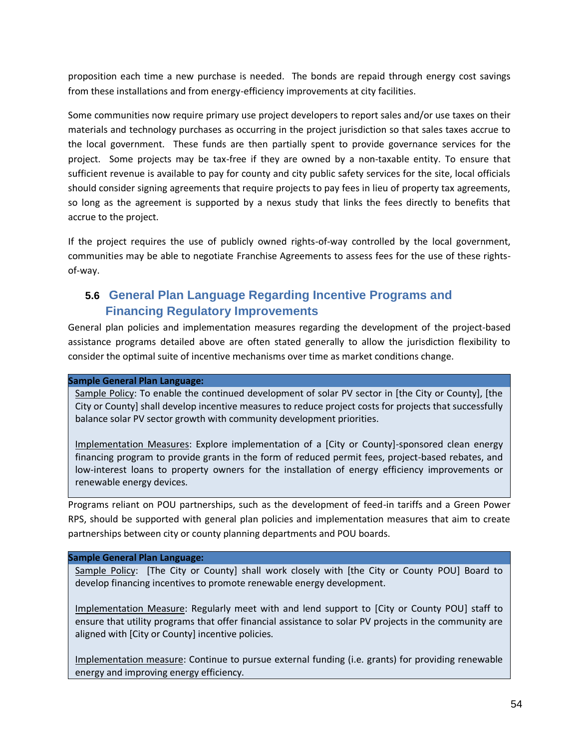proposition each time a new purchase is needed. The bonds are repaid through energy cost savings from these installations and from energy-efficiency improvements at city facilities.

Some communities now require primary use project developers to report sales and/or use taxes on their materials and technology purchases as occurring in the project jurisdiction so that sales taxes accrue to the local government. These funds are then partially spent to provide governance services for the project. Some projects may be tax-free if they are owned by a non-taxable entity. To ensure that sufficient revenue is available to pay for county and city public safety services for the site, local officials should consider signing agreements that require projects to pay fees in lieu of property tax agreements, so long as the agreement is supported by a nexus study that links the fees directly to benefits that accrue to the project.

If the project requires the use of publicly owned rights-of-way controlled by the local government, communities may be able to negotiate Franchise Agreements to assess fees for the use of these rightsof-way.

# **5.6 General Plan Language Regarding Incentive Programs and Financing Regulatory Improvements**

General plan policies and implementation measures regarding the development of the project-based assistance programs detailed above are often stated generally to allow the jurisdiction flexibility to consider the optimal suite of incentive mechanisms over time as market conditions change.

#### **Sample General Plan Language:**

Sample Policy: To enable the continued development of solar PV sector in [the City or County], [the City or County] shall develop incentive measures to reduce project costs for projects that successfully balance solar PV sector growth with community development priorities.

Implementation Measures: Explore implementation of a [City or County]-sponsored clean energy financing program to provide grants in the form of reduced permit fees, project-based rebates, and low-interest loans to property owners for the installation of energy efficiency improvements or renewable energy devices.

Programs reliant on POU partnerships, such as the development of feed-in tariffs and a Green Power RPS, should be supported with general plan policies and implementation measures that aim to create partnerships between city or county planning departments and POU boards.

#### **Sample General Plan Language:**

Sample Policy: [The City or County] shall work closely with [the City or County POU] Board to develop financing incentives to promote renewable energy development.

Implementation Measure: Regularly meet with and lend support to [City or County POU] staff to ensure that utility programs that offer financial assistance to solar PV projects in the community are aligned with [City or County] incentive policies.

Implementation measure: Continue to pursue external funding (i.e. grants) for providing renewable energy and improving energy efficiency.